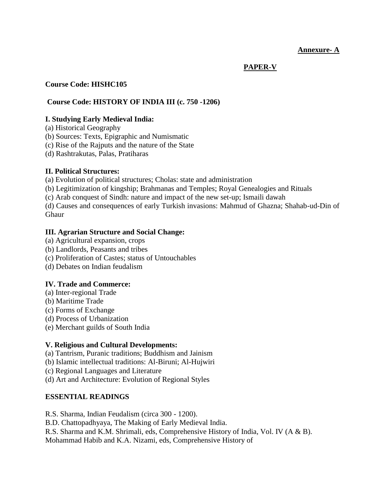#### **Annexure- A**

## **PAPER-V**

#### **Course Code: HISHC105**

#### **Course Code: HISTORY OF INDIA III (c. 750 -1206)**

#### **I. Studying Early Medieval India:**

- (a) Historical Geography
- (b) Sources: Texts, Epigraphic and Numismatic
- (c) Rise of the Rajputs and the nature of the State
- (d) Rashtrakutas, Palas, Pratiharas

#### **II. Political Structures:**

(a) Evolution of political structures; Cholas: state and administration

- (b) Legitimization of kingship; Brahmanas and Temples; Royal Genealogies and Rituals
- (c) Arab conquest of Sindh: nature and impact of the new set-up; Ismaili dawah

(d) Causes and consequences of early Turkish invasions: Mahmud of Ghazna; Shahab-ud-Din of Ghaur

#### **III. Agrarian Structure and Social Change:**

- (a) Agricultural expansion, crops
- (b) Landlords, Peasants and tribes
- (c) Proliferation of Castes; status of Untouchables
- (d) Debates on Indian feudalism

#### **IV. Trade and Commerce:**

- (a) Inter-regional Trade
- (b) Maritime Trade
- (c) Forms of Exchange
- (d) Process of Urbanization
- (e) Merchant guilds of South India

#### **V. Religious and Cultural Developments:**

- (a) Tantrism, Puranic traditions; Buddhism and Jainism
- (b) Islamic intellectual traditions: Al-Biruni; Al-Hujwiri
- (c) Regional Languages and Literature
- (d) Art and Architecture: Evolution of Regional Styles

#### **ESSENTIAL READINGS**

R.S. Sharma, Indian Feudalism (circa 300 - 1200).

B.D. Chattopadhyaya, The Making of Early Medieval India.

R.S. Sharma and K.M. Shrimali, eds, Comprehensive History of India, Vol. IV (A & B).

Mohammad Habib and K.A. Nizami, eds, Comprehensive History of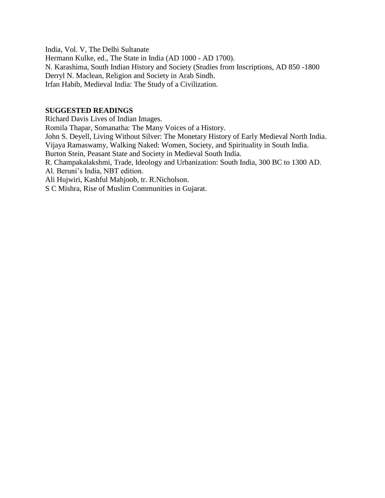India, Vol. V, The Delhi Sultanate

Hermann Kulke, ed., The State in India (AD 1000 - AD 1700). N. Karashima, South Indian History and Society (Studies from Inscriptions, AD 850 -1800 Derryl N. Maclean, Religion and Society in Arab Sindh. Irfan Habib, Medieval India: The Study of a Civilization.

## **SUGGESTED READINGS**

Richard Davis Lives of Indian Images.

Romila Thapar, Somanatha: The Many Voices of a History.

John S. Deyell, Living Without Silver: The Monetary History of Early Medieval North India. Vijaya Ramaswamy, Walking Naked: Women, Society, and Spirituality in South India.

Burton Stein, Peasant State and Society in Medieval South India.

R. Champakalakshmi, Trade, Ideology and Urbanization: South India, 300 BC to 1300 AD.

Al. Beruni's India, NBT edition.

Ali Hujwiri, Kashful Mahjoob, tr. R.Nicholson.

S C Mishra, Rise of Muslim Communities in Gujarat.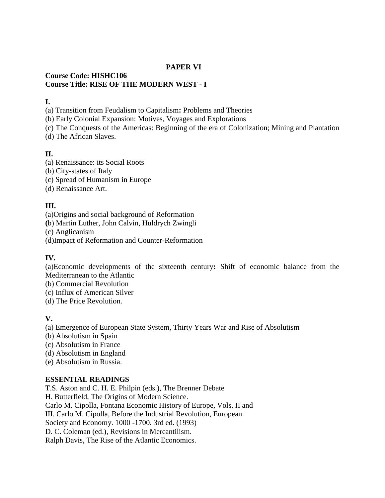## **PAPER VI**

#### **Course Code: HISHC106 Course Title: RISE OF THE MODERN WEST - I**

**I.** 

(a) Transition from Feudalism to Capitalism**:** Problems and Theories

(b) Early Colonial Expansion: Motives, Voyages and Explorations

(c) The Conquests of the Americas: Beginning of the era of Colonization; Mining and Plantation

(d) The African Slaves.

## **II.**

(a) Renaissance: its Social Roots

(b) City-states of Italy

(c) Spread of Humanism in Europe

(d) Renaissance Art.

## **III.**

(a)Origins and social background of Reformation

**(**b) Martin Luther, John Calvin, Huldrych Zwingli

(c) Anglicanism

(d)Impact of Reformation and Counter-Reformation

## **IV.**

(a)Economic developments of the sixteenth century**:** Shift of economic balance from the Mediterranean to the Atlantic

(b) Commercial Revolution

(c) Influx of American Silver

(d) The Price Revolution.

## **V.**

(a) Emergence of European State System, Thirty Years War and Rise of Absolutism

- (b) Absolutism in Spain
- (c) Absolutism in France
- (d) Absolutism in England

(e) Absolutism in Russia.

#### **ESSENTIAL READINGS**

T.S. Aston and C. H. E. Philpin (eds.), The Brenner Debate H. Butterfield, The Origins of Modern Science. Carlo M. Cipolla, Fontana Economic History of Europe, Vols. II and III. Carlo M. Cipolla, Before the Industrial Revolution, European Society and Economy. 1000 -1700. 3rd ed. (1993) D. C. Coleman (ed.), Revisions in Mercantilism. Ralph Davis, The Rise of the Atlantic Economics.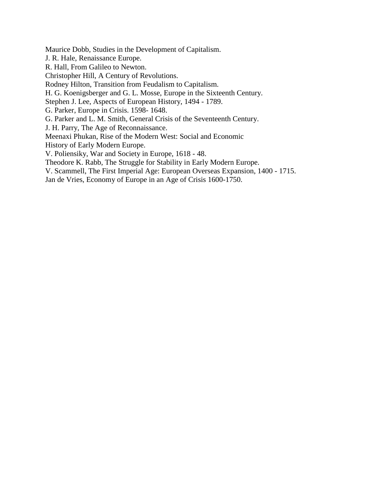Maurice Dobb, Studies in the Development of Capitalism.

J. R. Hale, Renaissance Europe.

R. Hall, From Galileo to Newton.

Christopher Hill, A Century of Revolutions.

Rodney Hilton, Transition from Feudalism to Capitalism.

H. G. Koenigsberger and G. L. Mosse, Europe in the Sixteenth Century.

Stephen J. Lee, Aspects of European History, 1494 - 1789.

G. Parker, Europe in Crisis. 1598- 1648.

G. Parker and L. M. Smith, General Crisis of the Seventeenth Century.

J. H. Parry, The Age of Reconnaissance.

Meenaxi Phukan, Rise of the Modern West: Social and Economic

History of Early Modern Europe.

V. Poliensiky, War and Society in Europe, 1618 - 48.

Theodore K. Rabb, The Struggle for Stability in Early Modern Europe.

V. Scammell, The First Imperial Age: European Overseas Expansion, 1400 - 1715.

Jan de Vries, Economy of Europe in an Age of Crisis 1600-1750.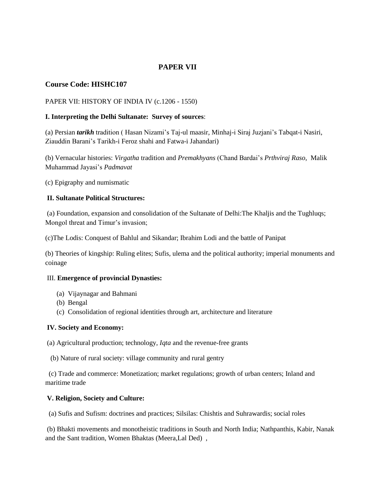## **PAPER VII**

#### **Course Code: HISHC107**

#### PAPER VII: HISTORY OF INDIA IV (c.1206 - 1550)

#### **I. Interpreting the Delhi Sultanate: Survey of sources**:

(a) Persian *tarikh* tradition ( Hasan Nizami's Taj-ul maasir, Minhaj-i Siraj Juzjani's Tabqat-i Nasiri, Ziauddin Barani's Tarikh-i Feroz shahi and Fatwa-i Jahandari)

(b) Vernacular histories: *Virgatha* tradition and *Premakhyans* (Chand Bardai's *Prthviraj Raso*, Malik Muhammad Jayasi's *Padmavat*

(c) Epigraphy and numismatic

#### **II. Sultanate Political Structures:**

(a) Foundation, expansion and consolidation of the Sultanate of Delhi:The Khaljis and the Tughluqs; Mongol threat and Timur's invasion;

(c)The Lodis: Conquest of Bahlul and Sikandar; Ibrahim Lodi and the battle of Panipat

(b) Theories of kingship: Ruling elites; Sufis, ulema and the political authority; imperial monuments and coinage

#### III. **Emergence of provincial Dynasties:**

- (a) Vijaynagar and Bahmani
- (b) Bengal
- (c) Consolidation of regional identities through art, architecture and literature

#### **IV. Society and Economy:**

(a) Agricultural production; technology, *Iqta* and the revenue-free grants

(b) Nature of rural society: village community and rural gentry

 (c) Trade and commerce: Monetization; market regulations; growth of urban centers; Inland and maritime trade

#### **V. Religion, Society and Culture:**

(a) Sufis and Sufism: doctrines and practices; Silsilas: Chishtis and Suhrawardis; social roles

(b) Bhakti movements and monotheistic traditions in South and North India; Nathpanthis, Kabir, Nanak and the Sant tradition, Women Bhaktas (Meera,Lal Ded) ,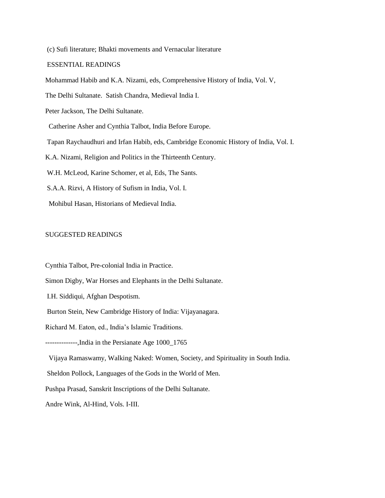(c) Sufi literature; Bhakti movements and Vernacular literature

#### ESSENTIAL READINGS

Mohammad Habib and K.A. Nizami, eds, Comprehensive History of India, Vol. V,

The Delhi Sultanate. Satish Chandra, Medieval India I.

Peter Jackson, The Delhi Sultanate.

Catherine Asher and Cynthia Talbot, India Before Europe.

Tapan Raychaudhuri and Irfan Habib, eds, Cambridge Economic History of India, Vol. I.

K.A. Nizami, Religion and Politics in the Thirteenth Century.

W.H. McLeod, Karine Schomer, et al, Eds, The Sants.

S.A.A. Rizvi, A History of Sufism in India, Vol. I.

Mohibul Hasan, Historians of Medieval India.

#### SUGGESTED READINGS

Cynthia Talbot, Pre-colonial India in Practice.

Simon Digby, War Horses and Elephants in the Delhi Sultanate.

I.H. Siddiqui, Afghan Despotism.

Burton Stein, New Cambridge History of India: Vijayanagara.

Richard M. Eaton, ed., India's Islamic Traditions.

--------------,India in the Persianate Age 1000\_1765

Vijaya Ramaswamy, Walking Naked: Women, Society, and Spirituality in South India.

Sheldon Pollock, Languages of the Gods in the World of Men.

Pushpa Prasad, Sanskrit Inscriptions of the Delhi Sultanate.

Andre Wink, Al-Hind, Vols. I-III.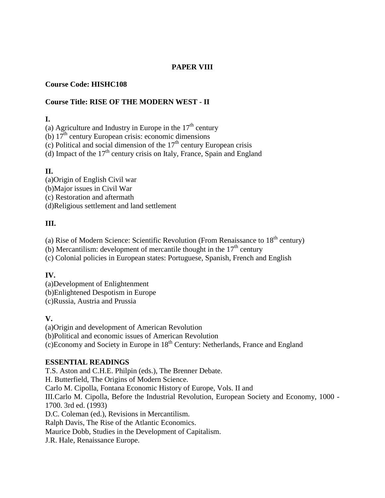## **PAPER VIII**

## **Course Code: HISHC108**

## **Course Title: RISE OF THE MODERN WEST - II**

## **I.**

(a) Agriculture and Industry in Europe in the  $17<sup>th</sup>$  century

(b)  $17<sup>th</sup>$  century European crisis: economic dimensions

(c) Political and social dimension of the  $17<sup>th</sup>$  century European crisis

(d) Impact of the  $17<sup>th</sup>$  century crisis on Italy, France, Spain and England

## **II.**

(a)Origin of English Civil war (b)Major issues in Civil War (c) Restoration and aftermath (d)Religious settlement and land settlement

## **III.**

(a) Rise of Modern Science: Scientific Revolution (From Renaissance to  $18<sup>th</sup>$  century)

(b) Mercantilism: development of mercantile thought in the  $17<sup>th</sup>$  century

(c) Colonial policies in European states: Portuguese, Spanish, French and English

## **IV.**

(a)Development of Enlightenment (b)Enlightened Despotism in Europe (c)Russia, Austria and Prussia

## **V.**

(a)Origin and development of American Revolution (b)Political and economic issues of American Revolution  $(c)$ Economy and Society in Europe in  $18<sup>th</sup>$  Century: Netherlands, France and England

#### **ESSENTIAL READINGS**

T.S. Aston and C.H.E. Philpin (eds.), The Brenner Debate. H. Butterfield, The Origins of Modern Science. Carlo M. Cipolla, Fontana Economic History of Europe, Vols. II and III.Carlo M. Cipolla, Before the Industrial Revolution, European Society and Economy, 1000 - 1700. 3rd ed. (1993) D.C. Coleman (ed.), Revisions in Mercantilism. Ralph Davis, The Rise of the Atlantic Economics. Maurice Dobb, Studies in the Development of Capitalism. J.R. Hale, Renaissance Europe.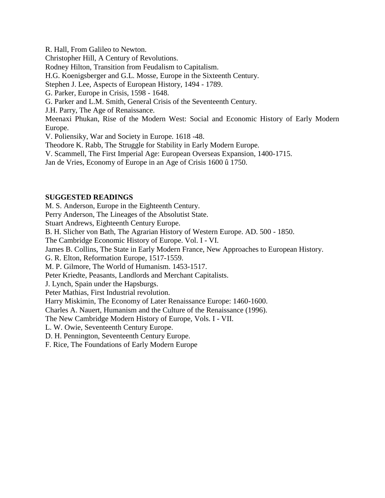R. Hall, From Galileo to Newton.

Christopher Hill, A Century of Revolutions.

Rodney Hilton, Transition from Feudalism to Capitalism.

H.G. Koenigsberger and G.L. Mosse, Europe in the Sixteenth Century.

Stephen J. Lee, Aspects of European History, 1494 - 1789.

G. Parker, Europe in Crisis, 1598 - 1648.

G. Parker and L.M. Smith, General Crisis of the Seventeenth Century.

J.H. Parry, The Age of Renaissance.

Meenaxi Phukan, Rise of the Modern West: Social and Economic History of Early Modern Europe.

V. Poliensiky, War and Society in Europe. 1618 -48.

Theodore K. Rabb, The Struggle for Stability in Early Modern Europe.

V. Scammell, The First Imperial Age: European Overseas Expansion, 1400-1715.

Jan de Vries, Economy of Europe in an Age of Crisis 1600 û 1750.

#### **SUGGESTED READINGS**

M. S. Anderson, Europe in the Eighteenth Century.

Perry Anderson, The Lineages of the Absolutist State.

Stuart Andrews, Eighteenth Century Europe.

B. H. Slicher von Bath, The Agrarian History of Western Europe. AD. 500 - 1850.

The Cambridge Economic History of Europe. Vol. I - VI.

James B. Collins, The State in Early Modern France, New Approaches to European History.

G. R. Elton, Reformation Europe, 1517-1559.

M. P. Gilmore, The World of Humanism. 1453-1517.

Peter Kriedte, Peasants, Landlords and Merchant Capitalists.

J. Lynch, Spain under the Hapsburgs.

Peter Mathias, First Industrial revolution.

Harry Miskimin, The Economy of Later Renaissance Europe: 1460-1600.

Charles A. Nauert, Humanism and the Culture of the Renaissance (1996).

The New Cambridge Modern History of Europe, Vols. I - VII.

L. W. Owie, Seventeenth Century Europe.

D. H. Pennington, Seventeenth Century Europe.

F. Rice, The Foundations of Early Modern Europe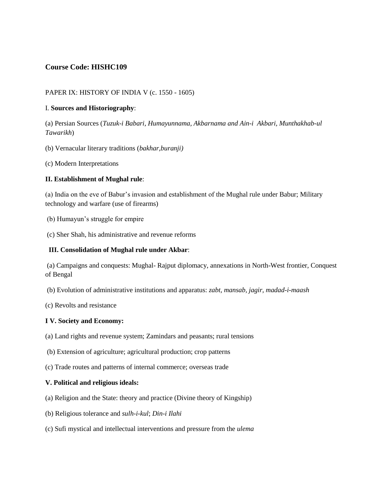#### **Course Code: HISHC109**

#### PAPER IX: HISTORY OF INDIA V (c. 1550 - 1605)

#### I. **Sources and Historiography**:

(a) Persian Sources (*Tuzuk-i Babari, Humayunnama, Akbarnama and Ain-i Akbari, Munthakhab-ul Tawarikh*)

- (b) Vernacular literary traditions (*bakhar,buranji)*
- (c) Modern Interpretations

#### **II. Establishment of Mughal rule**:

(a) India on the eve of Babur's invasion and establishment of the Mughal rule under Babur; Military technology and warfare (use of firearms)

(b) Humayun's struggle for empire

(c) Sher Shah, his administrative and revenue reforms

#### **III. Consolidation of Mughal rule under Akbar**:

(a) Campaigns and conquests: Mughal- Rajput diplomacy, annexations in North-West frontier, Conquest of Bengal

(b) Evolution of administrative institutions and apparatus: *zabt, mansab, jagir, madad-i-maash*

(c) Revolts and resistance

#### **I V. Society and Economy:**

(a) Land rights and revenue system; Zamindars and peasants; rural tensions

(b) Extension of agriculture; agricultural production; crop patterns

(c) Trade routes and patterns of internal commerce; overseas trade

#### **V. Political and religious ideals:**

- (a) Religion and the State: theory and practice (Divine theory of Kingship)
- (b) Religious tolerance and *sulh-i-kul*; *Din-i Ilahi*
- (c) Sufi mystical and intellectual interventions and pressure from the *ulema*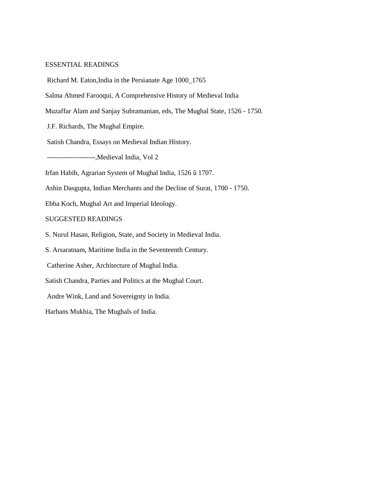#### ESSENTIAL READINGS

Richard M. Eaton,India in the Persianate Age 1000\_1765 Salma Ahmed Farooqui, A Comprehensive History of Medieval India Muzaffar Alam and Sanjay Subramanian, eds, The Mughal State, 1526 - 1750. J.F. Richards, The Mughal Empire. Satish Chandra, Essays on Medieval Indian History. ---------------------,Medieval India, Vol 2 Irfan Habib, Agrarian System of Mughal India, 1526 û 1707. Ashin Dasgupta, Indian Merchants and the Decline of Surat, 1700 - 1750. Ebba Koch, Mughal Art and Imperial Ideology. SUGGESTED READINGS S. Nurul Hasan, Religion, State, and Society in Medieval India. S. Arsaratnam, Maritime India in the Seventeenth Century. Catherine Asher, Architecture of Mughal India. Satish Chandra, Parties and Politics at the Mughal Court. Andre Wink, Land and Sovereignty in India. Harbans Mukhia, The Mughals of India.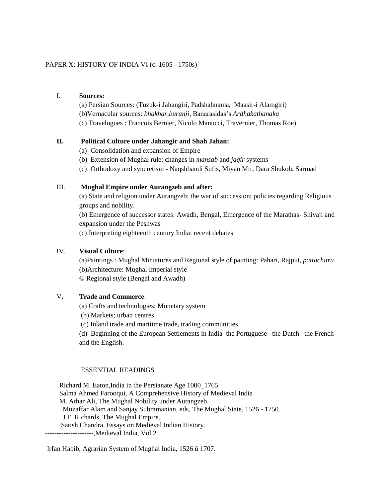#### PAPER X: HISTORY OF INDIA VI (c. 1605 - 1750s)

#### I. **Sources:**

- (a) Persian Sources: (Tuzuk-i Jahangiri, Padshahnama, Maasir-i Alamgiri)
- (b)Vernacular sources: *bhakhar,buranji*, Banarasidas's *Ardhakathanaka*
- (c) Travelogues : Francois Bernier, Nicolo Manucci, Travernier, Thomas Roe)

#### **II. Political Culture under Jahangir and Shah Jahan:**

- (a) Consolidation and expansion of Empire
- (b) Extension of Mughal rule: changes in *mansab* and *jagir* systems
- (c) Orthodoxy and syncretism Naqshbandi Sufis, Miyan Mir, Dara Shukoh, Sarmad

#### III. **Mughal Empire under Aurangzeb and after:**

(a) State and religion under Aurangzeb: the war of succession; policies regarding Religious groups and nobility.

(b) Emergence of successor states: Awadh, Bengal, Emergence of the Marathas- Shivaji and expansion under the Peshwas

(c) Interpreting eighteenth century India: recent debates

#### IV. **Visual Culture**:

(a)Paintings : Mughal Miniatures and Regional style of painting: Pahari, Rajput, *pattachitra* (b)Architecture: Mughal Imperial style

© Regional style (Bengal and Awadh)

#### V. **Trade and Commerce**:

- (a) Crafts and technologies; Monetary system
- (b) Markets; urban centres
- (c) Inland trade and maritime trade, trading communities

(d) Beginning of the European Settlements in India–the Portuguese –the Dutch –the French and the English.

#### ESSENTIAL READINGS

Richard M. Eaton,India in the Persianate Age 1000\_1765 Salma Ahmed Farooqui, A Comprehensive History of Medieval India M. Athar Ali, The Mughal Nobility under Aurangzeb. Muzaffar Alam and Sanjay Subramanian, eds, The Mughal State, 1526 - 1750. J.F. Richards, The Mughal Empire. Satish Chandra, Essays on Medieval Indian History. ---------------------,Medieval India, Vol 2

Irfan Habib, Agrarian System of Mughal India, 1526 û 1707.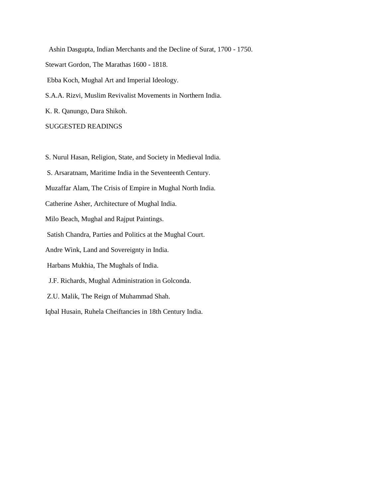Ashin Dasgupta, Indian Merchants and the Decline of Surat, 1700 - 1750. Stewart Gordon, The Marathas 1600 - 1818. Ebba Koch, Mughal Art and Imperial Ideology. S.A.A. Rizvi, Muslim Revivalist Movements in Northern India. K. R. Qanungo, Dara Shikoh.

#### SUGGESTED READINGS

S. Nurul Hasan, Religion, State, and Society in Medieval India.

S. Arsaratnam, Maritime India in the Seventeenth Century.

Muzaffar Alam, The Crisis of Empire in Mughal North India.

Catherine Asher, Architecture of Mughal India.

Milo Beach, Mughal and Rajput Paintings.

Satish Chandra, Parties and Politics at the Mughal Court.

Andre Wink, Land and Sovereignty in India.

Harbans Mukhia, The Mughals of India.

J.F. Richards, Mughal Administration in Golconda.

Z.U. Malik, The Reign of Muhammad Shah.

Iqbal Husain, Ruhela Cheiftancies in 18th Century India.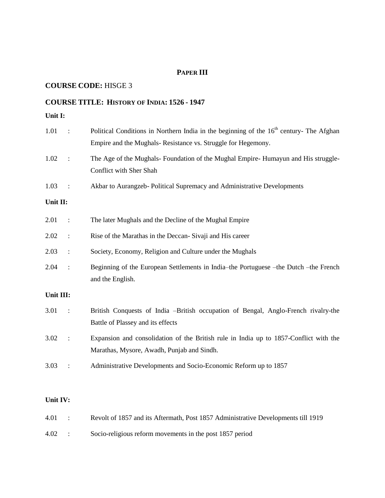#### **PAPER III**

## **COURSE CODE:** HISGE 3

## **COURSE TITLE: HISTORY OF INDIA: 1526 - 1947**

#### **Unit I:**

| 1.01      |                        | Political Conditions in Northern India in the beginning of the $16th$ century- The Afghan<br>Empire and the Mughals-Resistance vs. Struggle for Hegemony. |
|-----------|------------------------|-----------------------------------------------------------------------------------------------------------------------------------------------------------|
| 1.02      | $\ddot{\cdot}$         | The Age of the Mughals- Foundation of the Mughal Empire- Humayun and His struggle-<br>Conflict with Sher Shah                                             |
| 1.03      | $\ddot{\phantom{1}}$ : | Akbar to Aurangzeb-Political Supremacy and Administrative Developments                                                                                    |
| Unit II:  |                        |                                                                                                                                                           |
| 2.01      | $\ddot{\cdot}$         | The later Mughals and the Decline of the Mughal Empire                                                                                                    |
| 2.02      |                        | Rise of the Marathas in the Deccan- Sivaji and His career                                                                                                 |
| 2.03      |                        | Society, Economy, Religion and Culture under the Mughals                                                                                                  |
| 2.04      | $\ddot{\cdot}$         | Beginning of the European Settlements in India-the Portuguese -the Dutch -the French<br>and the English.                                                  |
| Unit III: |                        |                                                                                                                                                           |
| 3.01      | $\ddot{\phantom{1}}$ : | British Conquests of India -British occupation of Bengal, Anglo-French rivalry-the<br>Battle of Plassey and its effects                                   |
| 3.02      |                        | Expansion and consolidation of the British rule in India up to 1857-Conflict with the<br>Marathas, Mysore, Awadh, Punjab and Sindh.                       |
| 3.03      |                        | Administrative Developments and Socio-Economic Reform up to 1857                                                                                          |

## **Unit IV:**

| $4.01$ : |          | Revolt of 1857 and its Aftermath, Post 1857 Administrative Developments till 1919 |
|----------|----------|-----------------------------------------------------------------------------------|
|          | $4.02$ : | Socio-religious reform movements in the post 1857 period                          |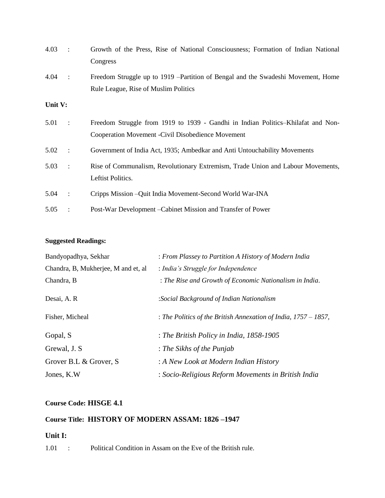| 4.03    | $\ddot{\phantom{a}}$   | Growth of the Press, Rise of National Consciousness; Formation of Indian National<br>Congress                                          |
|---------|------------------------|----------------------------------------------------------------------------------------------------------------------------------------|
| 4.04    | $\ddot{\cdot}$         | Freedom Struggle up to 1919 –Partition of Bengal and the Swadeshi Movement, Home<br>Rule League, Rise of Muslim Politics               |
| Unit V: |                        |                                                                                                                                        |
| 5.01    | $\ddot{\phantom{1}}$ : | Freedom Struggle from 1919 to 1939 - Gandhi in Indian Politics–Khilafat and Non-<br>Cooperation Movement - Civil Disobedience Movement |
| 5.02    | $\ddot{\cdot}$         | Government of India Act, 1935; Ambedkar and Anti Untouchability Movements                                                              |
| 5.03    | $\ddot{\cdot}$         | Rise of Communalism, Revolutionary Extremism, Trade Union and Labour Movements,<br>Leftist Politics.                                   |
| 5.04    | $\ddot{\cdot}$         | Cripps Mission – Quit India Movement-Second World War-INA                                                                              |
| 5.05    |                        | Post-War Development – Cabinet Mission and Transfer of Power                                                                           |

## **Suggested Readings:**

| Bandyopadhya, Sekhar                | : From Plassey to Partition A History of Modern India              |
|-------------------------------------|--------------------------------------------------------------------|
| Chandra, B, Mukherjee, M and et, al | : India's Struggle for Independence                                |
| Chandra, B                          | : The Rise and Growth of Economic Nationalism in India.            |
| Desai, A. R.                        | :Social Background of Indian Nationalism                           |
| Fisher, Micheal                     | : The Politics of the British Annexation of India, $1757 - 1857$ , |
| Gopal, S                            | : The British Policy in India, 1858-1905                           |
| Grewal, J. S.                       | : The Sikhs of the Punjab                                          |
| Grover B.L & Grover, S              | : A New Look at Modern Indian History                              |
| Jones, K.W.                         | : Socio-Religious Reform Movements in British India                |

## **Course Code: HISGE 4.1**

## **Course Title: HISTORY OF MODERN ASSAM: 1826 –1947**

#### **Unit I:**

1.01 : Political Condition in Assam on the Eve of the British rule.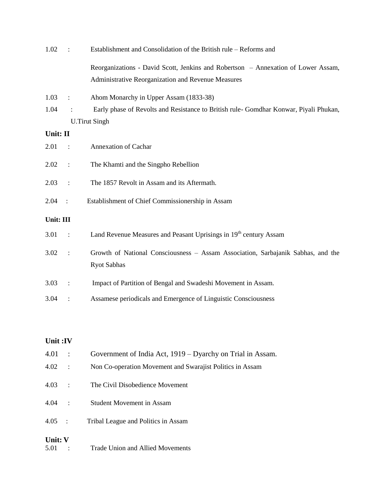| 1.02      | $\ddot{\cdot}$       | Establishment and Consolidation of the British rule – Reforms and                     |
|-----------|----------------------|---------------------------------------------------------------------------------------|
|           |                      | Reorganizations - David Scott, Jenkins and Robertson - Annexation of Lower Assam,     |
|           |                      | Administrative Reorganization and Revenue Measures                                    |
| 1.03      | $\ddot{\cdot}$       | Ahom Monarchy in Upper Assam (1833-38)                                                |
| 1.04      |                      | Early phase of Revolts and Resistance to British rule- Gomdhar Konwar, Piyali Phukan, |
|           |                      | <b>U.Tirut Singh</b>                                                                  |
| Unit: II  |                      |                                                                                       |
| 2.01      | $\ddot{\phantom{a}}$ | Annexation of Cachar                                                                  |
| 2.02      | $\ddot{\cdot}$       | The Khamti and the Singpho Rebellion                                                  |
| 2.03      |                      | The 1857 Revolt in Assam and its Aftermath.                                           |
| 2.04      |                      | Establishment of Chief Commissionership in Assam                                      |
| Unit: III |                      |                                                                                       |
| 3.01      |                      | Land Revenue Measures and Peasant Uprisings in 19 <sup>th</sup> century Assam         |
| 3.02      | $\ddot{\cdot}$       | Growth of National Consciousness - Assam Association, Sarbajanik Sabhas, and the      |
|           |                      | <b>Ryot Sabhas</b>                                                                    |
| 3.03      |                      | Impact of Partition of Bengal and Swadeshi Movement in Assam.                         |
| 3.04      |                      | Assamese periodicals and Emergence of Linguistic Consciousness                        |

## **Unit :IV**

| 4.01     | $\sim$ 1 | Government of India Act, 1919 – Dyarchy on Trial in Assam. |
|----------|----------|------------------------------------------------------------|
| 4.02     | $\sim$ 1 | Non Co-operation Movement and Swarajist Politics in Assam  |
| 4.03     | $\sim$ 1 | The Civil Disobedience Movement                            |
| 4.04     | $\cdot$  | <b>Student Movement in Assam</b>                           |
| $4.05$ : |          | Tribal League and Politics in Assam                        |
| Unit: V  |          |                                                            |
| 5.01     |          | Trade Union and Allied Movements                           |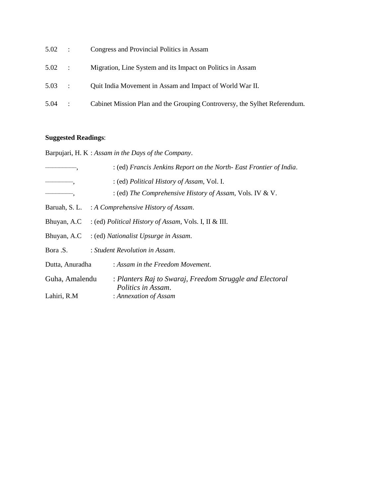|      | $5.02$ :                 | Congress and Provincial Politics in Assam                                 |
|------|--------------------------|---------------------------------------------------------------------------|
|      | $5.02$ :                 | Migration, Line System and its Impact on Politics in Assam                |
|      | $5.03$ :                 | Quit India Movement in Assam and Impact of World War II.                  |
| 5.04 | $\sim 1000$ km s $^{-1}$ | Cabinet Mission Plan and the Grouping Controversy, the Sylhet Referendum. |

## **Suggested Readings**:

Barpujari, H. K : *Assam in the Days of the Company*.

|                 | : (ed) Francis Jenkins Report on the North- East Frontier of India.            |
|-----------------|--------------------------------------------------------------------------------|
| ,               | : (ed) Political History of Assam, Vol. I.                                     |
| ,               | $: (ed)$ The Comprehensive History of Assam, Vols. IV & V.                     |
| Baruah, S. L.   | : A Comprehensive History of Assam.                                            |
| Bhuyan, A.C.    | : (ed) Political History of Assam, Vols. I, II & III.                          |
| Bhuyan, A.C.    | : (ed) Nationalist Upsurge in Assam.                                           |
| Bora .S.        | : Student Revolution in Assam.                                                 |
| Dutta, Anuradha | : Assam in the Freedom Movement.                                               |
| Guha, Amalendu  | : Planters Raj to Swaraj, Freedom Struggle and Electoral<br>Politics in Assam. |
| Lahiri, R.M     | : Annexation of Assam                                                          |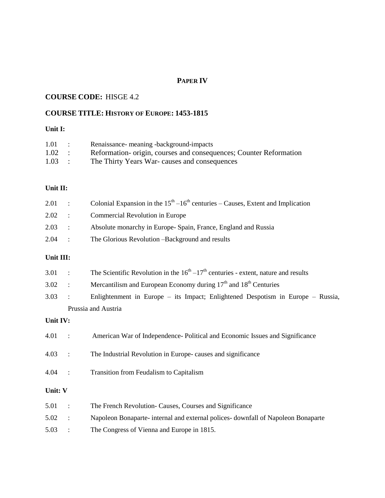## **PAPER IV**

## **COURSE CODE:** HISGE 4.2

#### **COURSE TITLE: HISTORY OF EUROPE: 1453-1815**

#### **Unit I:**

| 1.01     | <b>Contract Contract</b> | Renaissance meaning -background-impacts                            |
|----------|--------------------------|--------------------------------------------------------------------|
| $1.02$ : |                          | Reformation- origin, courses and consequences; Counter Reformation |
| $1.03$ : |                          | The Thirty Years War-causes and consequences                       |

#### **Unit II:**

|          | 2.01 : Colonial Expansion in the $15th - 16th$ centuries – Causes, Extent and Implication |
|----------|-------------------------------------------------------------------------------------------|
|          | 2.02 : Commercial Revolution in Europe                                                    |
|          | 2.03 : Absolute monarchy in Europe-Spain, France, England and Russia                      |
| $2.04$ : | The Glorious Revolution – Background and results                                          |
|          |                                                                                           |

#### **Unit III:**

| $3.01$ : |                     | The Scientific Revolution in the $16th - 17th$ centuries - extent, nature and results |
|----------|---------------------|---------------------------------------------------------------------------------------|
| 3.02 :   |                     | Mercantilism and European Economy during $17th$ and $18th$ Centuries                  |
| 3.03 :   |                     | Enlightenment in Europe – its Impact; Enlightened Despotism in Europe – Russia,       |
|          | Prussia and Austria |                                                                                       |

## **Unit IV:**

| 4.01    | $\mathbf{L}$   | American War of Independence - Political and Economic Issues and Significance     |
|---------|----------------|-----------------------------------------------------------------------------------|
| 4.03    | $\sim$ 1.      | The Industrial Revolution in Europe- causes and significance                      |
| 4.04    | $\sim$ 1.      | Transition from Feudalism to Capitalism                                           |
| Unit: V |                |                                                                                   |
| 5.01    | $\mathbb{R}^2$ | The French Revolution- Causes, Courses and Significance                           |
| 5.02    | $\sim$ 1       | Napoleon Bonaparte- internal and external polices- downfall of Napoleon Bonaparte |
| 5.03    | $\mathbf{L}$   | The Congress of Vienna and Europe in 1815.                                        |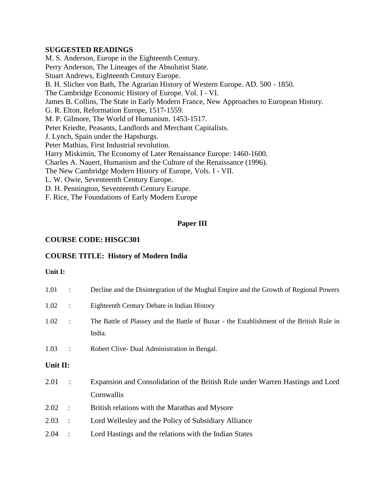#### **SUGGESTED READINGS**

M. S. Anderson, Europe in the Eighteenth Century. Perry Anderson, The Lineages of the Absolutist State. Stuart Andrews, Eighteenth Century Europe. B. H. Slicher von Bath, The Agrarian History of Western Europe. AD. 500 - 1850. The Cambridge Economic History of Europe. Vol. I - VI. James B. Collins, The State in Early Modern France, New Approaches to European History. G. R. Elton, Reformation Europe, 1517-1559. M. P. Gilmore, The World of Humanism. 1453-1517. Peter Kriedte, Peasants, Landlords and Merchant Capitalists. J. Lynch, Spain under the Hapsburgs. Peter Mathias, First Industrial revolution. Harry Miskimin, The Economy of Later Renaissance Europe: 1460-1600. Charles A. Nauert, Humanism and the Culture of the Renaissance (1996). The New Cambridge Modern History of Europe, Vols. I - VII. L. W. Owie, Seventeenth Century Europe. D. H. Pennington, Seventeenth Century Europe. F. Rice, The Foundations of Early Modern Europe

## **Paper III**

## **COURSE CODE: HISGC301**

#### **COURSE TITLE: History of Modern India**

#### **Unit I:**

| 1.01     |                      | Decline and the Disintegration of the Mughal Empire and the Growth of Regional Powers              |
|----------|----------------------|----------------------------------------------------------------------------------------------------|
| 1.02     | $\ddot{\cdot}$       | Eighteenth Century Debate in Indian History                                                        |
| 1.02     | $\ddot{\cdot}$       | The Battle of Plassey and the Battle of Buxar - the Establishment of the British Rule in<br>India. |
| 1.03     | $\ddot{\phantom{a}}$ | Robert Clive- Dual Administration in Bengal.                                                       |
| Unit II: |                      |                                                                                                    |
| 2.01     | $\sim$ 1             | Expansion and Consolidation of the British Rule under Warren Hastings and Lord                     |
|          |                      | Cornwallis                                                                                         |
| 2.02     |                      | British relations with the Marathas and Mysore                                                     |
| 2.03     | $\cdot$ :            | Lord Wellesley and the Policy of Subsidiary Alliance                                               |
| 2.04     | $\cdot$ :            | Lord Hastings and the relations with the Indian States                                             |
|          |                      |                                                                                                    |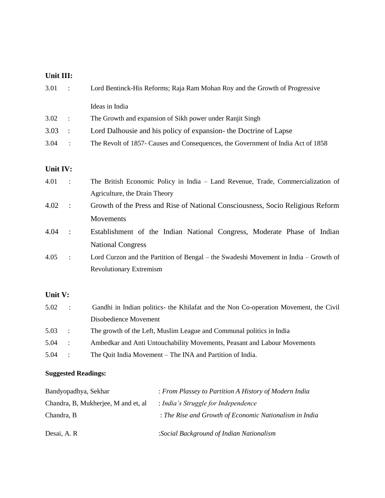## **Unit III:**

| 3.01 | $\mathbb{R}^2$   | Lord Bentinck-His Reforms; Raja Ram Mohan Roy and the Growth of Progressive     |
|------|------------------|---------------------------------------------------------------------------------|
|      |                  | Ideas in India                                                                  |
| 3.02 | $\mathbb{R}^n$   | The Growth and expansion of Sikh power under Ranjit Singh                       |
| 3.03 | $\sim$ 100 $\pm$ | Lord Dalhousie and his policy of expansion- the Doctrine of Lapse               |
| 3.04 |                  | The Revolt of 1857-Causes and Consequences, the Government of India Act of 1858 |

#### **Unit IV:**

| 4.01 | $\sim 10^6$   | The British Economic Policy in India – Land Revenue, Trade, Commercialization of     |
|------|---------------|--------------------------------------------------------------------------------------|
|      |               | Agriculture, the Drain Theory                                                        |
| 4.02 | $\mathcal{L}$ | Growth of the Press and Rise of National Consciousness, Socio Religious Reform       |
|      |               | Movements                                                                            |
| 4.04 | $\mathcal{L}$ | Establishment of the Indian National Congress, Moderate Phase of Indian              |
|      |               | <b>National Congress</b>                                                             |
| 4.05 | $\cdot$ :     | Lord Curzon and the Partition of Bengal – the Swadeshi Movement in India – Growth of |
|      |               | <b>Revolutionary Extremism</b>                                                       |
|      |               |                                                                                      |

## **Unit V:**

| 5.02 | $\sim$ 100 $\sim$        | Gandhi in Indian politics- the Khilafat and the Non Co-operation Movement, the Civil |
|------|--------------------------|--------------------------------------------------------------------------------------|
|      |                          | Disobedience Movement                                                                |
| 5.03 | $\sim$ 100 $\pm$         | The growth of the Left, Muslim League and Communal politics in India                 |
| 5.04 | $\sim 1000$ km s $^{-1}$ | Ambedkar and Anti Untouchability Movements, Peasant and Labour Movements             |
| 5.04 |                          | The Quit India Movement – The INA and Partition of India.                            |

## **Suggested Readings:**

| Bandyopadhya, Sekhar                | : From Plassey to Partition A History of Modern India  |
|-------------------------------------|--------------------------------------------------------|
| Chandra, B, Mukherjee, M and et, al | : India's Struggle for Independence                    |
| Chandra, B                          | : The Rise and Growth of Economic Nationalism in India |
| Desai, A. R                         | :Social Background of Indian Nationalism               |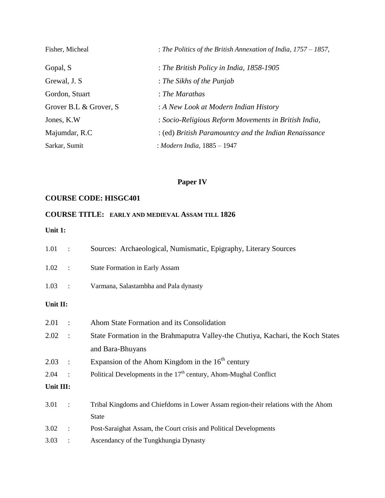| Fisher, Micheal         | : The Politics of the British Annexation of India, $1757 - 1857$ , |
|-------------------------|--------------------------------------------------------------------|
| Gopal, S                | : The British Policy in India, 1858-1905                           |
| Grewal, J. S.           | : The Sikhs of the Punjab                                          |
| Gordon, Stuart          | : The Marathas                                                     |
| Grover B.L & Grover, S. | : A New Look at Modern Indian History                              |
| Jones, K.W.             | : Socio-Religious Reform Movements in British India,               |
| Majumdar, R.C.          | : (ed) British Paramountcy and the Indian Renaissance              |
| Sarkar, Sumit           | : Modern India, 1885 - 1947                                        |

# **Paper IV**

## **COURSE CODE: HISGC401**

## **COURSE TITLE: EARLY AND MEDIEVAL ASSAM TILL 1826**

**Unit 1:** 

| 1.01      | $\sim$ 1             | Sources: Archaeological, Numismatic, Epigraphy, Literary Sources                  |
|-----------|----------------------|-----------------------------------------------------------------------------------|
| 1.02      | $\ddot{\cdot}$       | <b>State Formation in Early Assam</b>                                             |
| 1.03      |                      | Varmana, Salastambha and Pala dynasty                                             |
| Unit II:  |                      |                                                                                   |
| 2.01      | $\ddot{\phantom{1}}$ | Ahom State Formation and its Consolidation                                        |
| 2.02      | $\cdot$ :            | State Formation in the Brahmaputra Valley-the Chutiya, Kachari, the Koch States   |
|           |                      | and Bara-Bhuyans                                                                  |
| 2.03      | $\cdot$              | Expansion of the Ahom Kingdom in the $16th$ century                               |
| 2.04      |                      | Political Developments in the $17th$ century, Ahom-Mughal Conflict                |
| Unit III: |                      |                                                                                   |
| 3.01      | $\ddot{\cdot}$       | Tribal Kingdoms and Chiefdoms in Lower Assam region-their relations with the Ahom |
|           |                      | <b>State</b>                                                                      |
| 3.02      | $\ddot{\cdot}$       | Post-Saraighat Assam, the Court crisis and Political Developments                 |
| 3.03      |                      | Ascendancy of the Tungkhungia Dynasty                                             |
|           |                      |                                                                                   |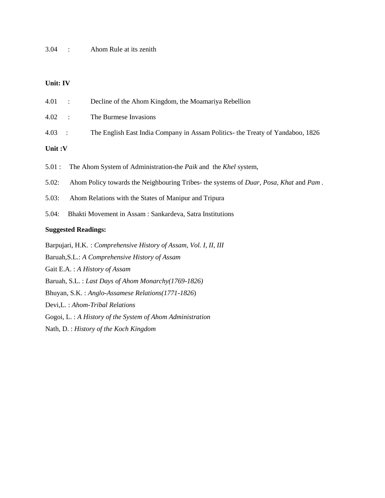3.04 : Ahom Rule at its zenith

#### **Unit: IV**

| Unit : $V$ |                                                                                |
|------------|--------------------------------------------------------------------------------|
| $4.03$ :   | The English East India Company in Assam Politics- the Treaty of Yandaboo, 1826 |
|            | 4.02 : The Burmese Invasions                                                   |
| $4.01$ :   | Decline of the Ahom Kingdom, the Moamariya Rebellion                           |

- 5.01 : The Ahom System of Administration-the *Paik* and the *Khel* system,
- 5.02: Ahom Policy towards the Neighbouring Tribes- the systems of *Duar, Posa, Khat* and *Pam .*
- 5.03: Ahom Relations with the States of Manipur and Tripura
- 5.04: Bhakti Movement in Assam : Sankardeva, Satra Institutions

#### **Suggested Readings:**

Barpujari, H.K. : *Comprehensive History of Assam, Vol. I, II, III*

Baruah,S.L.: *A Comprehensive History of Assam*

- Gait E.A. : *A History of Assam*
- Baruah, S.L. : *Last Days of Ahom Monarchy(1769-1826)*
- Bhuyan, S.K. : *Anglo-Assamese Relations(1771-1826*)
- Devi,L. : *Ahom-Tribal Relations*

Gogoi, L. : *A History of the System of Ahom Administration*

Nath, D. : *History of the Koch Kingdom*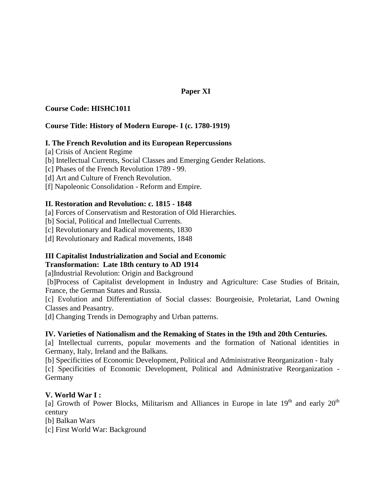## **Paper XI**

## **Course Code: HISHC1011**

## **Course Title: History of Modern Europe- I (c. 1780-1919)**

#### **I. The French Revolution and its European Repercussions**

[a] Crisis of Ancient Regime

[b] Intellectual Currents, Social Classes and Emerging Gender Relations.

[c] Phases of the French Revolution 1789 - 99.

[d] Art and Culture of French Revolution.

[f] Napoleonic Consolidation - Reform and Empire.

#### **II. Restoration and Revolution: c. 1815 - 1848**

[a] Forces of Conservatism and Restoration of Old Hierarchies.

[b] Social, Political and Intellectual Currents.

[c] Revolutionary and Radical movements, 1830

[d] Revolutionary and Radical movements, 1848

## **III Capitalist Industrialization and Social and Economic**

## **Transformation: Late 18th century to AD 1914**

[a]Industrial Revolution: Origin and Background

[b]Process of Capitalist development in Industry and Agriculture: Case Studies of Britain, France, the German States and Russia.

[c] Evolution and Differentiation of Social classes: Bourgeoisie, Proletariat, Land Owning Classes and Peasantry.

[d] Changing Trends in Demography and Urban patterns.

#### **IV. Varieties of Nationalism and the Remaking of States in the 19th and 20th Centuries.**

[a] Intellectual currents, popular movements and the formation of National identities in Germany, Italy, Ireland and the Balkans.

[b] Specificities of Economic Development, Political and Administrative Reorganization - Italy [c] Specificities of Economic Development, Political and Administrative Reorganization - Germany

#### **V. World War I :**

[a] Growth of Power Blocks, Militarism and Alliances in Europe in late  $19<sup>th</sup>$  and early  $20<sup>th</sup>$ century

[b] Balkan Wars

[c] First World War: Background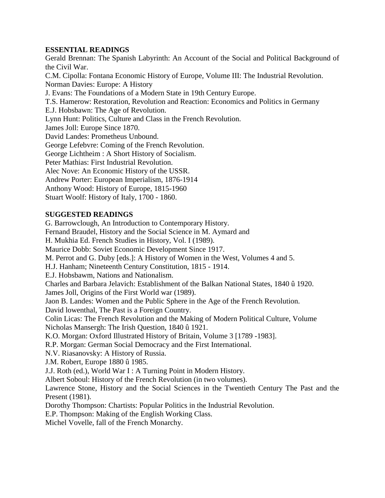#### **ESSENTIAL READINGS**

Gerald Brennan: The Spanish Labyrinth: An Account of the Social and Political Background of the Civil War. C.M. Cipolla: Fontana Economic History of Europe, Volume III: The Industrial Revolution. Norman Davies: Europe: A History J. Evans: The Foundations of a Modern State in 19th Century Europe. T.S. Hamerow: Restoration, Revolution and Reaction: Economics and Politics in Germany E.J. Hobsbawn: The Age of Revolution. Lynn Hunt: Politics, Culture and Class in the French Revolution. James Joll: Europe Since 1870. David Landes: Prometheus Unbound. George Lefebvre: Coming of the French Revolution. George Lichtheim : A Short History of Socialism. Peter Mathias: First Industrial Revolution. Alec Nove: An Economic History of the USSR. Andrew Porter: European Imperialism, 1876-1914 Anthony Wood: History of Europe, 1815-1960 Stuart Woolf: History of Italy, 1700 - 1860.

## **SUGGESTED READINGS**

G. Barrowclough, An Introduction to Contemporary History. Fernand Braudel, History and the Social Science in M. Aymard and H. Mukhia Ed. French Studies in History, Vol. I (1989). Maurice Dobb: Soviet Economic Development Since 1917. M. Perrot and G. Duby [eds.]: A History of Women in the West, Volumes 4 and 5. H.J. Hanham; Nineteenth Century Constitution, 1815 - 1914. E.J. Hobsbawm, Nations and Nationalism. Charles and Barbara Jelavich: Establishment of the Balkan National States, 1840 û 1920. James Joll, Origins of the First World war (1989). Jaon B. Landes: Women and the Public Sphere in the Age of the French Revolution. David lowenthal, The Past is a Foreign Country. Colin Licas: The French Revolution and the Making of Modern Political Culture, Volume Nicholas Mansergh: The Irish Question, 1840 û 1921. K.O. Morgan: Oxford Illustrated History of Britain, Volume 3 [1789 -1983]. R.P. Morgan: German Social Democracy and the First International. N.V. Riasanovsky: A History of Russia. J.M. Robert, Europe 1880 û 1985. J.J. Roth (ed.), World War I : A Turning Point in Modern History. Albert Soboul: History of the French Revolution (in two volumes). Lawrence Stone, History and the Social Sciences in the Twentieth Century The Past and the Present (1981). Dorothy Thompson: Chartists: Popular Politics in the Industrial Revolution. E.P. Thompson: Making of the English Working Class. Michel Vovelle, fall of the French Monarchy.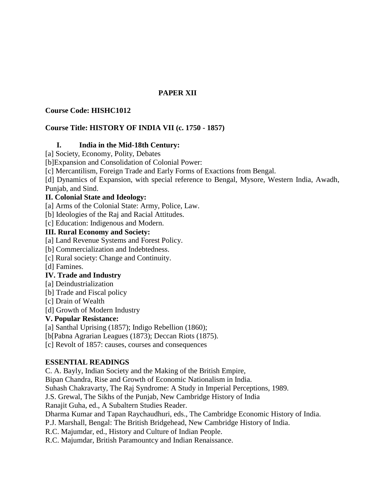## **PAPER XII**

## **Course Code: HISHC1012**

## **Course Title: HISTORY OF INDIA VII (c. 1750 - 1857)**

#### **I. India in the Mid-18th Century:**

[a] Society, Economy, Polity, Debates

[b]Expansion and Consolidation of Colonial Power:

[c] Mercantilism, Foreign Trade and Early Forms of Exactions from Bengal.

[d] Dynamics of Expansion, with special reference to Bengal, Mysore, Western India, Awadh, Punjab, and Sind.

## **II. Colonial State and Ideology:**

[a] Arms of the Colonial State: Army, Police, Law.

[b] Ideologies of the Raj and Racial Attitudes.

[c] Education: Indigenous and Modern.

#### **III. Rural Economy and Society:**

[a] Land Revenue Systems and Forest Policy.

[b] Commercialization and Indebtedness.

[c] Rural society: Change and Continuity.

[d] Famines.

#### **IV. Trade and Industry**

[a] Deindustrialization

[b] Trade and Fiscal policy

[c] Drain of Wealth

[d] Growth of Modern Industry

#### **V. Popular Resistance:**

[a] Santhal Uprising (1857); Indigo Rebellion (1860);

[b[Pabna Agrarian Leagues (1873); Deccan Riots (1875).

[c] Revolt of 1857: causes, courses and consequences

#### **ESSENTIAL READINGS**

C. A. Bayly, Indian Society and the Making of the British Empire,

Bipan Chandra, Rise and Growth of Economic Nationalism in India.

Suhash Chakravarty, The Raj Syndrome: A Study in Imperial Perceptions, 1989.

J.S. Grewal, The Sikhs of the Punjab, New Cambridge History of India

Ranajit Guha, ed., A Subaltern Studies Reader.

Dharma Kumar and Tapan Raychaudhuri, eds., The Cambridge Economic History of India.

P.J. Marshall, Bengal: The British Bridgehead, New Cambridge History of India.

R.C. Majumdar, ed., History and Culture of Indian People.

R.C. Majumdar, British Paramountcy and Indian Renaissance.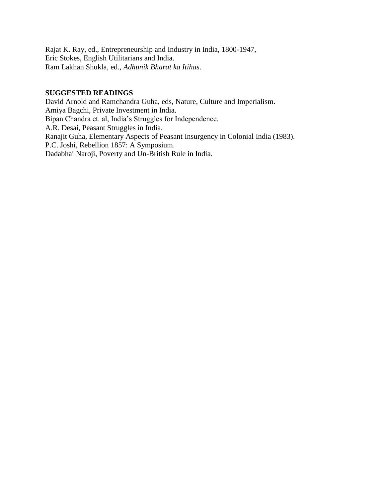Rajat K. Ray, ed., Entrepreneurship and Industry in India, 1800-1947, Eric Stokes, English Utilitarians and India. Ram Lakhan Shukla, ed., *Adhunik Bharat ka Itihas*.

#### **SUGGESTED READINGS**

David Arnold and Ramchandra Guha, eds, Nature, Culture and Imperialism. Amiya Bagchi, Private Investment in India. Bipan Chandra et. al, India's Struggles for Independence. A.R. Desai, Peasant Struggles in India. Ranajit Guha, Elementary Aspects of Peasant Insurgency in Colonial India (1983). P.C. Joshi, Rebellion 1857: A Symposium. Dadabhai Naroji, Poverty and Un-British Rule in India.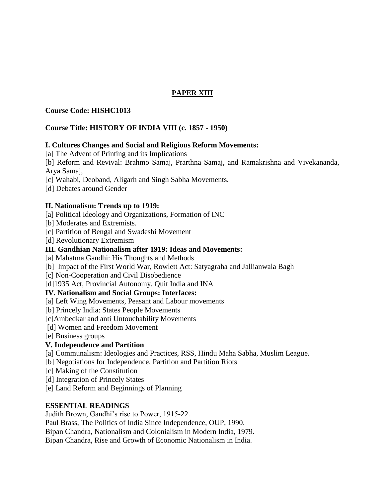## **PAPER XIII**

## **Course Code: HISHC1013**

## **Course Title: HISTORY OF INDIA VIII (c. 1857 - 1950)**

#### **I. Cultures Changes and Social and Religious Reform Movements:**

[a] The Advent of Printing and its Implications

[b] Reform and Revival: Brahmo Samaj, Prarthna Samaj, and Ramakrishna and Vivekananda, Arya Samaj,

[c] Wahabi, Deoband, Aligarh and Singh Sabha Movements.

[d] Debates around Gender

#### **II. Nationalism: Trends up to 1919:**

- [a] Political Ideology and Organizations, Formation of INC
- [b] Moderates and Extremists.

[c] Partition of Bengal and Swadeshi Movement

[d] Revolutionary Extremism

#### **III. Gandhian Nationalism after 1919: Ideas and Movements:**

[a] Mahatma Gandhi: His Thoughts and Methods

[b] Impact of the First World War, Rowlett Act: Satyagraha and Jallianwala Bagh

[c] Non-Cooperation and Civil Disobedience

[d]1935 Act, Provincial Autonomy, Ouit India and INA

#### **IV. Nationalism and Social Groups: Interfaces:**

- [a] Left Wing Movements, Peasant and Labour movements
- [b] Princely India: States People Movements
- [c]Ambedkar and anti Untouchability Movements
- [d] Women and Freedom Movement
- [e] Business groups

#### **V. Independence and Partition**

- [a] Communalism: Ideologies and Practices, RSS, Hindu Maha Sabha, Muslim League.
- [b] Negotiations for Independence, Partition and Partition Riots
- [c] Making of the Constitution
- [d] Integration of Princely States
- [e] Land Reform and Beginnings of Planning

#### **ESSENTIAL READINGS**

Judith Brown, Gandhi's rise to Power, 1915-22.

Paul Brass, The Politics of India Since Independence, OUP, 1990.

Bipan Chandra, Nationalism and Colonialism in Modern India, 1979.

Bipan Chandra, Rise and Growth of Economic Nationalism in India.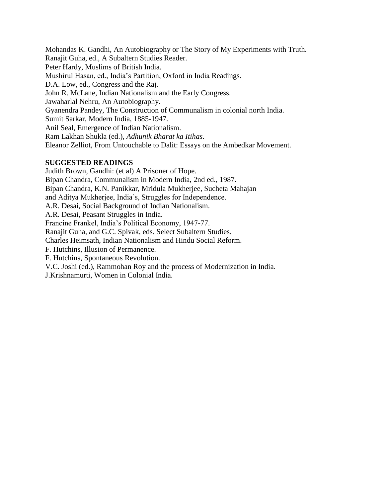Mohandas K. Gandhi, An Autobiography or The Story of My Experiments with Truth. Ranajit Guha, ed., A Subaltern Studies Reader. Peter Hardy, Muslims of British India. Mushirul Hasan, ed., India's Partition, Oxford in India Readings. D.A. Low, ed., Congress and the Raj. John R. McLane, Indian Nationalism and the Early Congress. Jawaharlal Nehru, An Autobiography. Gyanendra Pandey, The Construction of Communalism in colonial north India. Sumit Sarkar, Modern India, 1885-1947. Anil Seal, Emergence of Indian Nationalism. Ram Lakhan Shukla (ed.), *Adhunik Bharat ka Itihas*. Eleanor Zelliot, From Untouchable to Dalit: Essays on the Ambedkar Movement.

#### **SUGGESTED READINGS**

Judith Brown, Gandhi: (et al) A Prisoner of Hope. Bipan Chandra, Communalism in Modern India, 2nd ed., 1987. Bipan Chandra, K.N. Panikkar, Mridula Mukherjee, Sucheta Mahajan and Aditya Mukherjee, India's, Struggles for Independence. A.R. Desai, Social Background of Indian Nationalism. A.R. Desai, Peasant Struggles in India. Francine Frankel, India's Political Economy, 1947-77. Ranajit Guha, and G.C. Spivak, eds. Select Subaltern Studies. Charles Heimsath, Indian Nationalism and Hindu Social Reform. F. Hutchins, Illusion of Permanence. F. Hutchins, Spontaneous Revolution. V.C. Joshi (ed.), Rammohan Roy and the process of Modernization in India. J.Krishnamurti, Women in Colonial India.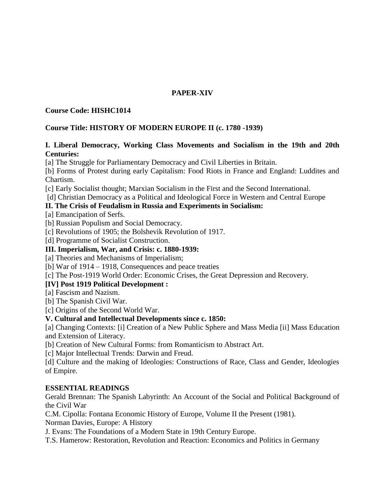## **PAPER-XIV**

#### **Course Code: HISHC1014**

## **Course Title: HISTORY OF MODERN EUROPE II (c. 1780 -1939)**

#### **I. Liberal Democracy, Working Class Movements and Socialism in the 19th and 20th Centuries:**

[a] The Struggle for Parliamentary Democracy and Civil Liberties in Britain.

[b] Forms of Protest during early Capitalism: Food Riots in France and England: Luddites and Chartism.

[c] Early Socialist thought; Marxian Socialism in the First and the Second International.

[d] Christian Democracy as a Political and Ideological Force in Western and Central Europe

#### **II. The Crisis of Feudalism in Russia and Experiments in Socialism:**

[a] Emancipation of Serfs.

[b] Russian Populism and Social Democracy.

[c] Revolutions of 1905; the Bolshevik Revolution of 1917.

[d] Programme of Socialist Construction.

#### **III. Imperialism, War, and Crisis: c. 1880-1939:**

[a] Theories and Mechanisms of Imperialism;

[b] War of 1914 – 1918, Consequences and peace treaties

[c] The Post-1919 World Order: Economic Crises, the Great Depression and Recovery.

#### **[IV] Post 1919 Political Development :**

[a] Fascism and Nazism.

[b] The Spanish Civil War.

[c] Origins of the Second World War.

#### **V. Cultural and Intellectual Developments since c. 1850:**

[a] Changing Contexts: [i] Creation of a New Public Sphere and Mass Media [ii] Mass Education and Extension of Literacy.

[b] Creation of New Cultural Forms: from Romanticism to Abstract Art.

[c] Major Intellectual Trends: Darwin and Freud.

[d] Culture and the making of Ideologies: Constructions of Race, Class and Gender, Ideologies of Empire.

## **ESSENTIAL READINGS**

Gerald Brennan: The Spanish Labyrinth: An Account of the Social and Political Background of the Civil War

C.M. Cipolla: Fontana Economic History of Europe, Volume II the Present (1981).

Norman Davies, Europe: A History

J. Evans: The Foundations of a Modern State in 19th Century Europe.

T.S. Hamerow: Restoration, Revolution and Reaction: Economics and Politics in Germany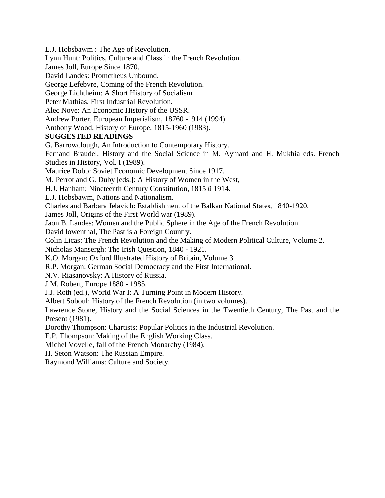E.J. Hobsbawm : The Age of Revolution. Lynn Hunt: Politics, Culture and Class in the French Revolution. James Joll, Europe Since 1870. David Landes: Promctheus Unbound. George Lefebvre, Coming of the French Revolution. George Lichtheim: A Short History of Socialism. Peter Mathias, First Industrial Revolution. Alec Nove: An Economic History of the USSR. Andrew Porter, European Imperialism, 18760 -1914 (1994). Antbony Wood, History of Europe, 1815-1960 (1983). **SUGGESTED READINGS** G. Barrowclough, An Introduction to Contemporary History. Fernand Braudel, History and the Social Science in M. Aymard and H. Mukhia eds. French Studies in History, Vol. I (1989). Maurice Dobb: Soviet Economic Development Since 1917. M. Perrot and G. Duby [eds.]: A History of Women in the West, H.J. Hanham; Nineteenth Century Constitution, 1815 û 1914. E.J. Hobsbawm, Nations and Nationalism. Charles and Barbara Jelavich: Establishment of the Balkan National States, 1840-1920. James Joll, Origins of the First World war (1989). Jaon B. Landes: Women and the Public Sphere in the Age of the French Revolution. David lowenthal, The Past is a Foreign Country. Colin Licas: The French Revolution and the Making of Modern Political Culture, Volume 2. Nicholas Mansergh: The Irish Question, 1840 - 1921. K.O. Morgan: Oxford Illustrated History of Britain, Volume 3 R.P. Morgan: German Social Democracy and the First International. N.V. Riasanovsky: A History of Russia. J.M. Robert, Europe 1880 - 1985. J.J. Roth (ed.), World War I: A Turning Point in Modern History. Albert Soboul: History of the French Revolution (in two volumes). Lawrence Stone, History and the Social Sciences in the Twentieth Century, The Past and the Present (1981). Dorothy Thompson: Chartists: Popular Politics in the Industrial Revolution. E.P. Thompson: Making of the English Working Class. Michel Vovelle, fall of the French Monarchy (1984). H. Seton Watson: The Russian Empire. Raymond Williams: Culture and Society.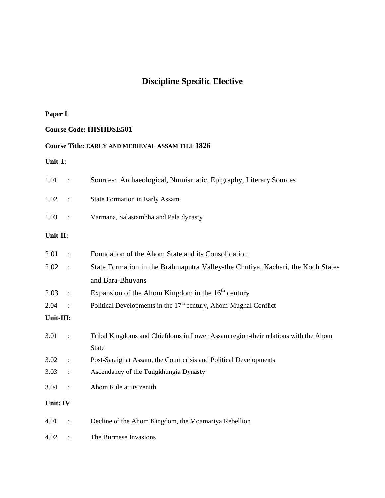# **Discipline Specific Elective**

## **Paper I**

## **Course Code: HISHDSE501**

#### **Course Title: EARLY AND MEDIEVAL ASSAM TILL 1826**

#### **Unit-1:**

| 1.01      | $\ddot{\cdot}$         | Sources: Archaeological, Numismatic, Epigraphy, Literary Sources                                  |
|-----------|------------------------|---------------------------------------------------------------------------------------------------|
| 1.02      | $\ddot{\cdot}$         | <b>State Formation in Early Assam</b>                                                             |
| 1.03      | $\ddot{\cdot}$         | Varmana, Salastambha and Pala dynasty                                                             |
| Unit-II:  |                        |                                                                                                   |
| 2.01      |                        | Foundation of the Ahom State and its Consolidation                                                |
| 2.02      | $\ddot{\cdot}$         | State Formation in the Brahmaputra Valley-the Chutiya, Kachari, the Koch States                   |
|           |                        | and Bara-Bhuyans                                                                                  |
| 2.03      |                        | Expansion of the Ahom Kingdom in the $16th$ century                                               |
| 2.04      | $\ddot{\cdot}$         | Political Developments in the $17th$ century, Ahom-Mughal Conflict                                |
| Unit-III: |                        |                                                                                                   |
| 3.01      | $\ddot{\phantom{1}}$ : | Tribal Kingdoms and Chiefdoms in Lower Assam region-their relations with the Ahom<br><b>State</b> |
| 3.02      |                        | Post-Saraighat Assam, the Court crisis and Political Developments                                 |
| 3.03      | $\ddot{\cdot}$         | Ascendancy of the Tungkhungia Dynasty                                                             |
| 3.04      |                        | Ahom Rule at its zenith                                                                           |
| Unit: IV  |                        |                                                                                                   |
| 4.01      |                        | Decline of the Ahom Kingdom, the Moamariya Rebellion                                              |
| 4.02      |                        | The Burmese Invasions                                                                             |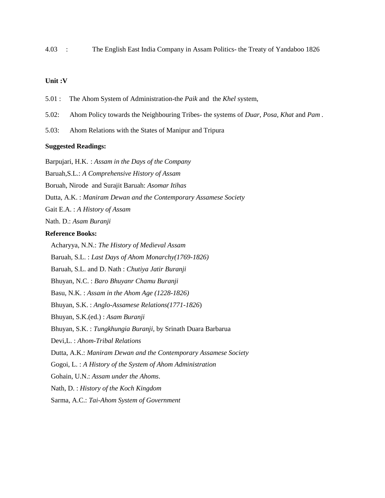4.03 : The English East India Company in Assam Politics- the Treaty of Yandaboo 1826

#### **Unit :V**

- 5.01 : The Ahom System of Administration-the *Paik* and the *Khel* system,
- 5.02: Ahom Policy towards the Neighbouring Tribes- the systems of *Duar, Posa, Khat* and *Pam .*
- 5.03: Ahom Relations with the States of Manipur and Tripura

#### **Suggested Readings:**

Barpujari, H.K. : *Assam in the Days of the Company*

- Baruah,S.L.: *A Comprehensive History of Assam*
- Boruah, Nirode and Surajit Baruah: *Asomar Itihas*

Dutta, A.K. : *Maniram Dewan and the Contemporary Assamese Society*

Gait E.A. : *A History of Assam*

Nath. D.: *Asam Buranji*

#### **Reference Books:**

Acharyya, N.N.: *The History of Medieval Assam* Baruah, S.L. : *Last Days of Ahom Monarchy(1769-1826)* Baruah, S.L. and D. Nath : *Chutiya Jatir Buranji* Bhuyan, N.C. : *Baro Bhuyanr Chamu Buranji* Basu, N.K. : *Assam in the Ahom Age (1228-1826)* Bhuyan, S.K. : *Anglo-Assamese Relations(1771-1826*) Bhuyan, S.K.(ed.) : *Asam Buranji* Bhuyan, S.K. : *Tungkhungia Buranji,* by Srinath Duara Barbarua Devi,L. : *Ahom-Tribal Relations* Dutta, A.K.: *Maniram Dewan and the Contemporary Assamese Society* Gogoi, L. : *A History of the System of Ahom Administration* Gohain, U.N.: *Assam under the Ahoms*. Nath, D. : *History of the Koch Kingdom*  Sarma, A.C.: *Tai-Ahom System of Government*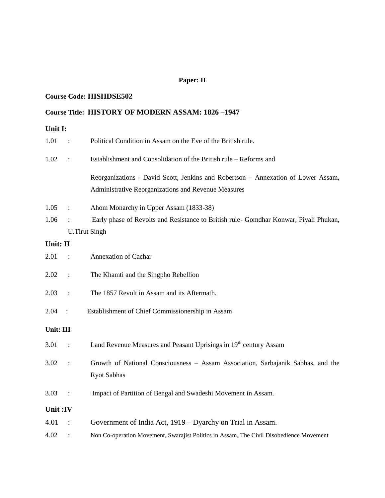## **Paper: II**

## **Course Code: HISHDSE502**

## **Course Title: HISTORY OF MODERN ASSAM: 1826 –1947**

**Unit I:**

| 1.01      | ÷              | Political Condition in Assam on the Eve of the British rule.                            |
|-----------|----------------|-----------------------------------------------------------------------------------------|
| 1.02      |                | Establishment and Consolidation of the British rule – Reforms and                       |
|           |                | Reorganizations - David Scott, Jenkins and Robertson - Annexation of Lower Assam,       |
|           |                | Administrative Reorganizations and Revenue Measures                                     |
| 1.05      |                | Ahom Monarchy in Upper Assam (1833-38)                                                  |
| 1.06      |                | Early phase of Revolts and Resistance to British rule- Gomdhar Konwar, Piyali Phukan,   |
|           |                | <b>U.Tirut Singh</b>                                                                    |
| Unit: II  |                |                                                                                         |
| 2.01      |                | Annexation of Cachar                                                                    |
| 2.02      |                | The Khamti and the Singpho Rebellion                                                    |
| 2.03      | $\ddot{\cdot}$ | The 1857 Revolt in Assam and its Aftermath.                                             |
| 2.04      |                | Establishment of Chief Commissionership in Assam                                        |
| Unit: III |                |                                                                                         |
| 3.01      |                | Land Revenue Measures and Peasant Uprisings in 19 <sup>th</sup> century Assam           |
| 3.02      |                | Growth of National Consciousness - Assam Association, Sarbajanik Sabhas, and the        |
|           |                | <b>Ryot Sabhas</b>                                                                      |
| 3.03      | $\cdot$ :      | Impact of Partition of Bengal and Swadeshi Movement in Assam.                           |
| Unit:IV   |                |                                                                                         |
| 4.01      | $\ddot{\cdot}$ | Government of India Act, 1919 – Dyarchy on Trial in Assam.                              |
| 4.02      |                | Non Co-operation Movement, Swarajist Politics in Assam, The Civil Disobedience Movement |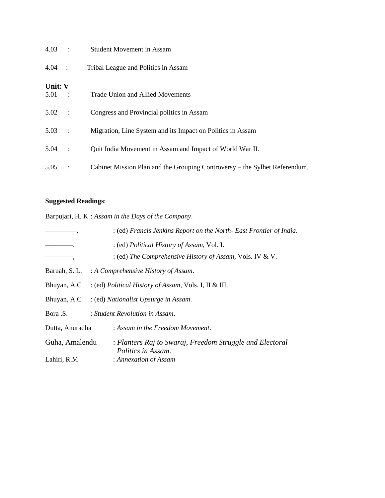| 4.03            | $\ddot{\phantom{a}}$ | <b>Student Movement in Assam</b>                                           |
|-----------------|----------------------|----------------------------------------------------------------------------|
| 4.04 :          |                      | Tribal League and Politics in Assam                                        |
| Unit: V<br>5.01 | $\sim$ 1             | Trade Union and Allied Movements                                           |
| 5.02            | $\ddot{\phantom{a}}$ | Congress and Provincial politics in Assam                                  |
| 5.03            | $\mathbb{R}^2$       | Migration, Line System and its Impact on Politics in Assam                 |
| 5.04            | ÷                    | Quit India Movement in Assam and Impact of World War II.                   |
| 5.05            |                      | Cabinet Mission Plan and the Grouping Controversy – the Sylhet Referendum. |

## **Suggested Readings**:

Barpujari, H. K : *Assam in the Days of the Company*.

|                 | : (ed) Francis Jenkins Report on the North- East Frontier of India.            |
|-----------------|--------------------------------------------------------------------------------|
| ,               | : (ed) Political History of Assam, Vol. I.                                     |
| ٠               | $: (ed)$ The Comprehensive History of Assam, Vols. IV & V.                     |
| Baruah, S. L.   | : A Comprehensive History of Assam.                                            |
| Bhuyan, A.C.    | : (ed) Political History of Assam, Vols. I, II & III.                          |
| Bhuyan, A.C     | : (ed) Nationalist Upsurge in Assam.                                           |
| Bora .S.        | : Student Revolution in Assam.                                                 |
| Dutta, Anuradha | : Assam in the Freedom Movement.                                               |
| Guha, Amalendu  | : Planters Raj to Swaraj, Freedom Struggle and Electoral<br>Politics in Assam. |
| Lahiri, R.M     | : Annexation of Assam                                                          |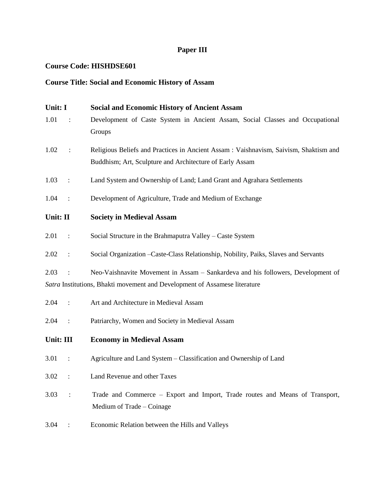## **Paper III**

## **Course Code: HISHDSE601**

## **Course Title: Social and Economic History of Assam**

| Unit: I                      | <b>Social and Economic History of Ancient Assam</b>                                                                                                            |
|------------------------------|----------------------------------------------------------------------------------------------------------------------------------------------------------------|
| 1.01                         | Development of Caste System in Ancient Assam, Social Classes and Occupational<br>Groups                                                                        |
| 1.02<br>$\ddot{\cdot}$       | Religious Beliefs and Practices in Ancient Assam : Vaishnavism, Saivism, Shaktism and<br>Buddhism; Art, Sculpture and Architecture of Early Assam              |
| 1.03<br>$\ddot{\cdot}$       | Land System and Ownership of Land; Land Grant and Agrahara Settlements                                                                                         |
| 1.04<br>$\ddot{\cdot}$       | Development of Agriculture, Trade and Medium of Exchange                                                                                                       |
| Unit: II                     | <b>Society in Medieval Assam</b>                                                                                                                               |
| 2.01<br>$\ddot{\cdot}$       | Social Structure in the Brahmaputra Valley - Caste System                                                                                                      |
| 2.02<br>$\ddot{\phantom{a}}$ | Social Organization - Caste-Class Relationship, Nobility, Paiks, Slaves and Servants                                                                           |
| 2.03                         | Neo-Vaishnavite Movement in Assam - Sankardeva and his followers, Development of<br>Satra Institutions, Bhakti movement and Development of Assamese literature |
| 2.04<br>$\ddot{\phantom{a}}$ | Art and Architecture in Medieval Assam                                                                                                                         |
| 2.04<br>$\ddot{\cdot}$       | Patriarchy, Women and Society in Medieval Assam                                                                                                                |
| Unit: III                    | <b>Economy in Medieval Assam</b>                                                                                                                               |
| 3.01<br>$\ddot{\cdot}$       | Agriculture and Land System - Classification and Ownership of Land                                                                                             |
| 3.02<br>$\ddot{\cdot}$       | Land Revenue and other Taxes                                                                                                                                   |
| 3.03<br>$\ddot{\cdot}$       | Trade and Commerce – Export and Import, Trade routes and Means of Transport,<br>Medium of Trade – Coinage                                                      |
| 3.04<br>$\ddot{\cdot}$       | Economic Relation between the Hills and Valleys                                                                                                                |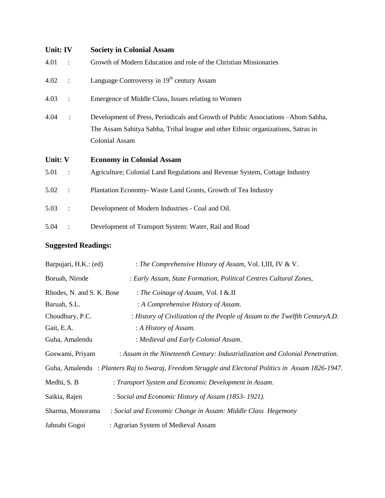| Unit: IV |                            | <b>Society in Colonial Assam</b>                                                  |
|----------|----------------------------|-----------------------------------------------------------------------------------|
| 4.01     |                            | Growth of Modern Education and role of the Christian Missionaries                 |
| 4.02     | $\mathbb{R}^2$             | Language Controversy in 19 <sup>th</sup> century Assam                            |
| 4.03     | $\cdot$ :                  | Emergence of Middle Class, Issues relating to Women                               |
| 4.04     | $\ddot{\cdot}$             | Development of Press, Periodicals and Growth of Public Associations - Ahom Sabha, |
|          |                            | The Assam Sahitya Sabha, Tribal league and other Ethnic organizations, Satras in  |
|          |                            | <b>Colonial Assam</b>                                                             |
| Unit: V  |                            | <b>Economy in Colonial Assam</b>                                                  |
| 5.01     | $\overline{\phantom{a}}$ : | Agriculture; Colonial Land Regulations and Revenue System, Cottage Industry       |
| 5.02     | $\cdot$ :                  | Plantation Economy-Waste Land Grants, Growth of Tea Industry                      |
| 5.03     | $\ddot{\cdot}$             | Development of Modern Industries - Coal and Oil.                                  |
|          |                            | Development of Transport System: Water, Rail and Road                             |

# **Suggested Readings:**

| Barpujari, H.K.: (ed)     | : The Comprehensive History of Assam, Vol. I,III, IV & V.                                           |
|---------------------------|-----------------------------------------------------------------------------------------------------|
| Boruah, Nirode            | : Early Assam, State Formation, Political Centres Cultural Zones,                                   |
| Rhodes, N. and S. K. Bose | : The Coinage of Assam, Vol. I & II                                                                 |
| Baruah, S.L.              | : A Comprehensive History of Assam.                                                                 |
| Choudhury, P.C.           | : History of Civilization of the People of Assam to the Twelfth CenturyA.D.                         |
| Gait, E.A.                | : A History of Assam.                                                                               |
| Guha, Amalendu            | : Medieval and Early Colonial Assam.                                                                |
| Goswami, Priyam           | : Assam in the Nineteenth Century: Industrialization and Colonial Penetration.                      |
|                           | Guha, Amalendu: Planters Raj to Swaraj, Freedom Struggle and Electoral Politics in Assam 1826-1947. |
| Medhi, S. B               | : Transport System and Economic Development in Assam.                                               |
| Saikia, Rajen             | : Social and Economic History of Assam (1853-1921).                                                 |
| Sharma, Monorama          | : Social and Economic Change in Assam: Middle Class Hegemony                                        |
| Jahnabi Gogoi             | : Agrarian System of Medieval Assam                                                                 |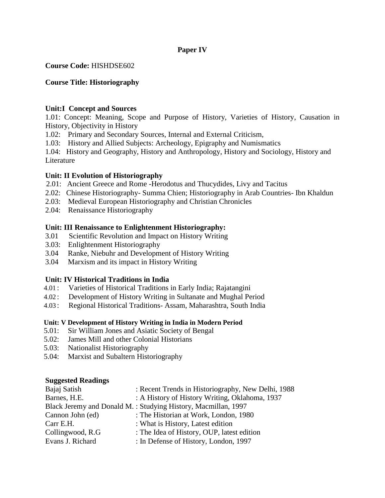#### **Paper IV**

**Course Code:** HISHDSE602

#### **Course Title: Historiography**

#### **Unit:I Concept and Sources**

1.01: Concept: Meaning, Scope and Purpose of History, Varieties of History, Causation in History, Objectivity in History

- 1.02: Primary and Secondary Sources, Internal and External Criticism,
- 1.03: History and Allied Subjects: Archeology, Epigraphy and Numismatics

1.04: History and Geography, History and Anthropology, History and Sociology, History and Literature

#### **Unit: II Evolution of Historiography**

- 2.01: Ancient Greece and Rome -Herodotus and Thucydides, Livy and Tacitus
- 2.02: Chinese Historiography- Summa Chien; Historiography in Arab Countries- Ibn Khaldun
- 2.03: Medieval European Historiography and Christian Chronicles
- 2.04: Renaissance Historiography

#### **Unit: III Renaissance to Enlightenment Historiography:**

- 3.01 Scientific Revolution and Impact on History Writing
- 3.03: Enlightenment Historiography
- 3.04 Ranke, Niebuhr and Development of History Writing
- 3.04 Marxism and its impact in History Writing

#### **Unit: IV Historical Traditions in India**

- 4.01 : Varieties of Historical Traditions in Early India; Rajatangini
- 4.02 : Development of History Writing in Sultanate and Mughal Period
- 4.03 : Regional Historical Traditions- Assam, Maharashtra, South India

#### **Unit: V Development of History Writing in India in Modern Period**

- 5.01: Sir William Jones and Asiatic Society of Bengal
- 5.02: James Mill and other Colonial Historians
- 5.03: Nationalist Historiography
- 5.04: Marxist and Subaltern Historiography

#### **Suggested Readings**

| Bajaj Satish     | : Recent Trends in Historiography, New Delhi, 1988            |
|------------------|---------------------------------------------------------------|
| Barnes, H.E.     | : A History of History Writing, Oklahoma, 1937                |
|                  | Black Jeremy and Donald M.: Studying History, Macmillan, 1997 |
| Cannon John (ed) | : The Historian at Work, London, 1980                         |
| Carr E.H.        | : What is History, Latest edition                             |
| Collingwood, R.G | : The Idea of History, OUP, latest edition                    |
| Evans J. Richard | : In Defense of History, London, 1997                         |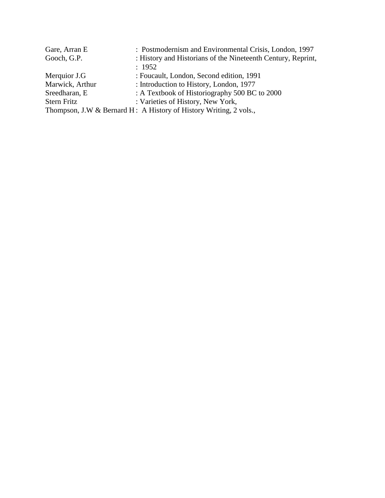| Gare, Arran E   | : Postmodernism and Environmental Crisis, London, 1997            |
|-----------------|-------------------------------------------------------------------|
| Gooch, G.P.     | : History and Historians of the Nineteenth Century, Reprint,      |
|                 | : 1952                                                            |
| Merquior J.G    | : Foucault, London, Second edition, 1991                          |
| Marwick, Arthur | : Introduction to History, London, 1977                           |
| Sreedharan, E   | : A Textbook of Historiography 500 BC to 2000                     |
| Stern Fritz     | : Varieties of History, New York,                                 |
|                 | Thompson, J.W & Bernard H: A History of History Writing, 2 vols., |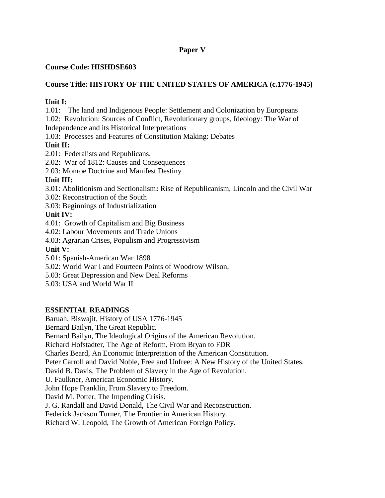## **Paper V**

## **Course Code: HISHDSE603**

## **Course Title: HISTORY OF THE UNITED STATES OF AMERICA (c.1776-1945)**

## **Unit I:**

1.01: The land and Indigenous People: Settlement and Colonization by Europeans

1.02: Revolution: Sources of Conflict, Revolutionary groups, Ideology: The War of Independence and its Historical Interpretations

1.03: Processes and Features of Constitution Making: Debates

## **Unit II:**

- 2.01: Federalists and Republicans,
- 2.02: War of 1812: Causes and Consequences
- 2.03: Monroe Doctrine and Manifest Destiny

## **Unit III:**

- 3.01: Abolitionism and Sectionalism**:** Rise of Republicanism, Lincoln and the Civil War
- 3.02: Reconstruction of the South
- 3.03: Beginnings of Industrialization

## **Unit IV:**

- 4.01: Growth of Capitalism and Big Business
- 4.02: Labour Movements and Trade Unions
- 4.03: Agrarian Crises, Populism and Progressivism

## **Unit V:**

- 5.01: Spanish-American War 1898
- 5.02: World War I and Fourteen Points of Woodrow Wilson,
- 5.03: Great Depression and New Deal Reforms
- 5.03: USA and World War II

#### **ESSENTIAL READINGS**

Baruah, Biswajit, History of USA 1776-1945

Bernard Bailyn, The Great Republic.

Bernard Bailyn, The Ideological Origins of the American Revolution.

Richard Hofstadter, The Age of Reform, From Bryan to FDR

Charles Beard, An Economic Interpretation of the American Constitution.

Peter Carroll and David Noble, Free and Unfree: A New History of the United States.

David B. Davis, The Problem of Slavery in the Age of Revolution.

U. Faulkner, American Economic History.

John Hope Franklin, From Slavery to Freedom.

David M. Potter, The Impending Crisis.

J. G. Randall and David Donald, The Civil War and Reconstruction.

Federick Jackson Turner, The Frontier in American History.

Richard W. Leopold, The Growth of American Foreign Policy.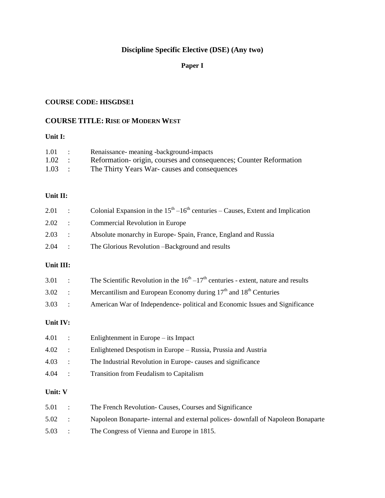## **Discipline Specific Elective (DSE) (Any two)**

## **Paper I**

#### **COURSE CODE: HISGDSE1**

## **COURSE TITLE: RISE OF MODERN WEST**

## **Unit I:**

| 1.01     |                   | Renaissance meaning -background-impacts                            |
|----------|-------------------|--------------------------------------------------------------------|
| $1.02$ : |                   | Reformation- origin, courses and consequences; Counter Reformation |
| 1.03     | $\sim$ 100 $\sim$ | The Thirty Years War- causes and consequences                      |

#### **Unit II:**

|          | 2.01 : Colonial Expansion in the $15th - 16th$ centuries – Causes, Extent and Implication |
|----------|-------------------------------------------------------------------------------------------|
|          | 2.02 : Commercial Revolution in Europe                                                    |
|          | 2.03 : Absolute monarchy in Europe-Spain, France, England and Russia                      |
| $2.04$ : | The Glorious Revolution – Background and results                                          |

## **Unit III:**

| 3.01   | <b>Contract Contract</b> | The Scientific Revolution in the $16th - 17th$ centuries - extent, nature and results |
|--------|--------------------------|---------------------------------------------------------------------------------------|
| 3.02 : |                          | Mercantilism and European Economy during $17th$ and $18th$ Centuries                  |
| 3.03 : |                          | American War of Independence- political and Economic Issues and Significance          |

## **Unit IV:**

| 4.01     | $\sim 1000$ km s $^{-1}$ | Enlightenment in Europe $-$ its Impact                        |
|----------|--------------------------|---------------------------------------------------------------|
| 4.02 :   |                          | Enlightened Despotism in Europe – Russia, Prussia and Austria |
| 4.03 :   |                          | The Industrial Revolution in Europe- causes and significance  |
| $4.04$ : |                          | Transition from Feudalism to Capitalism                       |

#### **Unit: V**

| $5.01$ : | The French Revolution- Causes, Courses and Significance                           |
|----------|-----------------------------------------------------------------------------------|
| $5.02$ : | Napoleon Bonaparte- internal and external polices- downfall of Napoleon Bonaparte |
| $5.03$ : | The Congress of Vienna and Europe in 1815.                                        |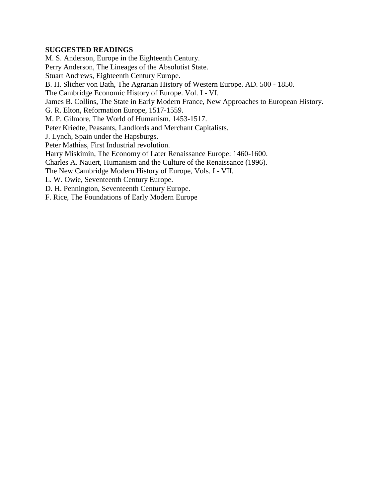#### **SUGGESTED READINGS**

M. S. Anderson, Europe in the Eighteenth Century. Perry Anderson, The Lineages of the Absolutist State. Stuart Andrews, Eighteenth Century Europe. B. H. Slicher von Bath, The Agrarian History of Western Europe. AD. 500 - 1850. The Cambridge Economic History of Europe. Vol. I - VI. James B. Collins, The State in Early Modern France, New Approaches to European History. G. R. Elton, Reformation Europe, 1517-1559. M. P. Gilmore, The World of Humanism. 1453-1517. Peter Kriedte, Peasants, Landlords and Merchant Capitalists. J. Lynch, Spain under the Hapsburgs. Peter Mathias, First Industrial revolution. Harry Miskimin, The Economy of Later Renaissance Europe: 1460-1600. Charles A. Nauert, Humanism and the Culture of the Renaissance (1996). The New Cambridge Modern History of Europe, Vols. I - VII. L. W. Owie, Seventeenth Century Europe. D. H. Pennington, Seventeenth Century Europe.

F. Rice, The Foundations of Early Modern Europe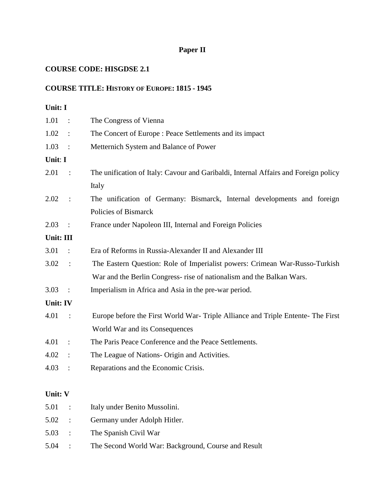# **Paper II**

## **COURSE CODE: HISGDSE 2.1**

## **COURSE TITLE: HISTORY OF EUROPE: 1815 - 1945**

## **Unit: I**

| 1.01         |                        | The Congress of Vienna                                                              |
|--------------|------------------------|-------------------------------------------------------------------------------------|
| 1.02         |                        | The Concert of Europe: Peace Settlements and its impact                             |
| 1.03         | $\ddot{\phantom{1}}$ : | Metternich System and Balance of Power                                              |
| Unit: I      |                        |                                                                                     |
| 2.01         | $\mathbb{R}^2$         | The unification of Italy: Cavour and Garibaldi, Internal Affairs and Foreign policy |
|              |                        | Italy                                                                               |
| 2.02         | $\sim$ 1               | The unification of Germany: Bismarck, Internal developments and foreign             |
|              |                        | Policies of Bismarck                                                                |
| 2.03         | $\cdot$ :              | France under Napoleon III, Internal and Foreign Policies                            |
| Unit: III    |                        |                                                                                     |
| 3.01         | $\cdot$                | Era of Reforms in Russia-Alexander II and Alexander III                             |
| 3.02         | $\sim$ 1.              | The Eastern Question: Role of Imperialist powers: Crimean War-Russo-Turkish         |
|              |                        | War and the Berlin Congress- rise of nationalism and the Balkan Wars.               |
| 3.03         | $\ddot{\phantom{1}}$ : | Imperialism in Africa and Asia in the pre-war period.                               |
| Unit: IV     |                        |                                                                                     |
| 4.01         |                        | Europe before the First World War-Triple Alliance and Triple Entente-The First      |
|              |                        | World War and its Consequences                                                      |
| 4.01         |                        | The Paris Peace Conference and the Peace Settlements.                               |
| 4.02         |                        | The League of Nations- Origin and Activities.                                       |
| 4.03         | $\ddot{\cdot}$         | Reparations and the Economic Crisis.                                                |
|              |                        |                                                                                     |
| Unit: V      |                        |                                                                                     |
| $5 \cap 1$ . |                        | Itoly under Denite Musselini                                                        |

|          | 5.01 : Italy under Benito Mussolini.                |
|----------|-----------------------------------------------------|
|          | 5.02 : Germany under Adolph Hitler.                 |
|          | 5.03 : The Spanish Civil War                        |
| $5.04$ : | The Second World War: Background, Course and Result |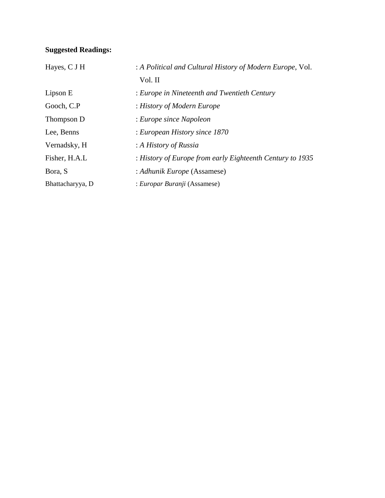# **Suggested Readings:**

| Hayes, C J H     | : A Political and Cultural History of Modern Europe, Vol. |
|------------------|-----------------------------------------------------------|
|                  | Vol. II                                                   |
| Lipson E         | : Europe in Nineteenth and Twentieth Century              |
| Gooch, C.P       | : History of Modern Europe                                |
| Thompson D       | : Europe since Napoleon                                   |
| Lee, Benns       | : European History since 1870                             |
| Vernadsky, H     | : A History of Russia                                     |
| Fisher, H.A.L    | : History of Europe from early Eighteenth Century to 1935 |
| Bora, S          | : Adhunik Europe (Assamese)                               |
| Bhattacharyya, D | : Europar Buranji (Assamese)                              |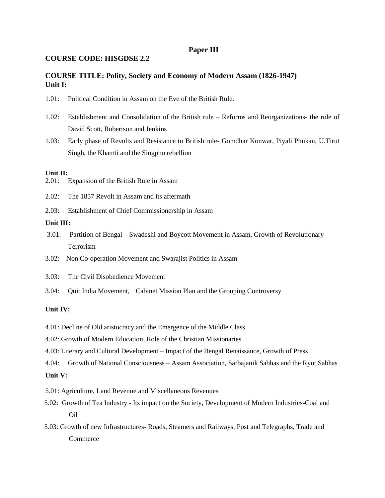#### **Paper III**

#### **COURSE CODE: HISGDSE 2.2**

#### **COURSE TITLE: Polity, Society and Economy of Modern Assam (1826-1947) Unit I:**

- 1.01: Political Condition in Assam on the Eve of the British Rule.
- 1.02: Establishment and Consolidation of the British rule Reforms and Reorganizations- the role of David Scott, Robertson and Jenkins
- 1.03: Early phase of Revolts and Resistance to British rule- Gomdhar Konwar, Piyali Phukan, U.Tirut Singh, the Khamti and the Singpho rebellion

#### **Unit II:**

- 2.01: Expansion of the British Rule in Assam
- 2.02: The 1857 Revolt in Assam and its aftermath
- 2.03: Establishment of Chief Commissionership in Assam

#### **Unit III:**

- 3.01: Partition of Bengal Swadeshi and Boycott Movement in Assam, Growth of Revolutionary Terrorism
- 3.02: Non Co-operation Movement and Swarajist Politics in Assam
- 3.03: The Civil Disobedience Movement
- 3.04: Quit India Movement, Cabinet Mission Plan and the Grouping Controversy

#### **Unit IV:**

- 4.01: Decline of Old aristocracy and the Emergence of the Middle Class
- 4.02: Growth of Modern Education, Role of the Christian Missionaries
- 4.03: Literary and Cultural Development Impact of the Bengal Renaissance, Growth of Press
- 4.04: Growth of National Consciousness Assam Association, Sarbajanik Sabhas and the Ryot Sabhas

#### **Unit V:**

- 5.01: Agriculture, Land Revenue and Miscellaneous Revenues
- 5.02: Growth of Tea Industry Its impact on the Society, Development of Modern Industries-Coal and Oil
- 5.03: Growth of new Infrastructures- Roads, Steamers and Railways, Post and Telegraphs, Trade and Commerce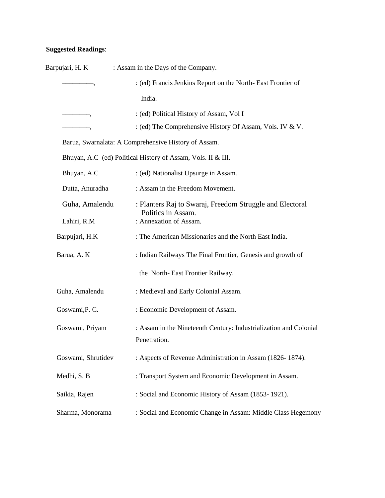## **Suggested Readings**:

| Barpujari, H. K    | : Assam in the Days of the Company.                                               |
|--------------------|-----------------------------------------------------------------------------------|
|                    | : (ed) Francis Jenkins Report on the North-East Frontier of                       |
|                    | India.                                                                            |
|                    | : (ed) Political History of Assam, Vol I                                          |
|                    | : (ed) The Comprehensive History Of Assam, Vols. IV & V.                          |
|                    | Barua, Swarnalata: A Comprehensive History of Assam.                              |
|                    | Bhuyan, A.C (ed) Political History of Assam, Vols. II & III.                      |
| Bhuyan, A.C        | : (ed) Nationalist Upsurge in Assam.                                              |
| Dutta, Anuradha    | : Assam in the Freedom Movement.                                                  |
| Guha, Amalendu     | : Planters Raj to Swaraj, Freedom Struggle and Electoral<br>Politics in Assam.    |
| Lahiri, R.M        | : Annexation of Assam.                                                            |
| Barpujari, H.K     | : The American Missionaries and the North East India.                             |
| Barua, A. K        | : Indian Railways The Final Frontier, Genesis and growth of                       |
|                    | the North-East Frontier Railway.                                                  |
| Guha, Amalendu     | : Medieval and Early Colonial Assam.                                              |
| Goswami, P. C.     | : Economic Development of Assam.                                                  |
| Goswami, Priyam    | : Assam in the Nineteenth Century: Industrialization and Colonial<br>Penetration. |
| Goswami, Shrutidev | : Aspects of Revenue Administration in Assam (1826-1874).                         |
| Medhi, S. B        | : Transport System and Economic Development in Assam.                             |
| Saikia, Rajen      | : Social and Economic History of Assam (1853-1921).                               |
| Sharma, Monorama   | : Social and Economic Change in Assam: Middle Class Hegemony                      |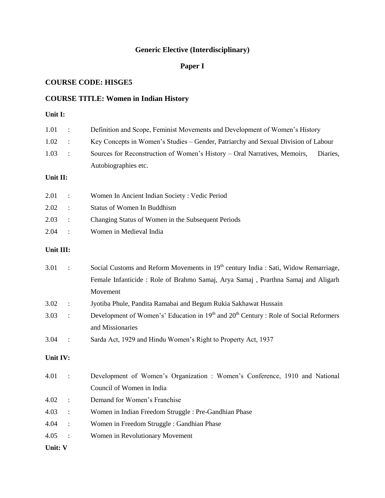## **Generic Elective (Interdisciplinary)**

## **Paper I**

## **COURSE CODE: HISGE5**

## **COURSE TITLE: Women in Indian History**

#### **Unit I:**

| 1.01 | $\sim$ 100 $\sim$        | Definition and Scope, Feminist Movements and Development of Women's History           |
|------|--------------------------|---------------------------------------------------------------------------------------|
| 1.02 | $\sim 1000$ km s $^{-1}$ | Key Concepts in Women's Studies – Gender, Patriarchy and Sexual Division of Labour    |
| 1.03 | $\mathbb{R}^n$           | Sources for Reconstruction of Women's History – Oral Narratives, Memoirs,<br>Diaries. |
|      |                          | Autobiographies etc.                                                                  |

## **Unit II:**

| 2.01     | : Women In Ancient Indian Society : Vedic Period          |
|----------|-----------------------------------------------------------|
| $2.02$ : | Status of Women In Buddhism                               |
|          | 2.03 : Changing Status of Women in the Subsequent Periods |
| $2.04$ : | Women in Medieval India                                   |

#### **Unit III:**

| 3.01     | $\ddot{\cdot}$  | Social Customs and Reform Movements in 19 <sup>th</sup> century India : Sati, Widow Remarriage,               |
|----------|-----------------|---------------------------------------------------------------------------------------------------------------|
|          |                 | Female Infanticide : Role of Brahmo Samaj, Arya Samaj, Prarthna Samaj and Aligarh                             |
|          |                 | Movement                                                                                                      |
| 3.02     | $\ddot{\cdot}$  | Jyotiba Phule, Pandita Ramabai and Begum Rukia Sakhawat Hussain                                               |
| 3.03     |                 | Development of Women's' Education in 19 <sup>th</sup> and 20 <sup>th</sup> Century : Role of Social Reformers |
|          |                 | and Missionaries                                                                                              |
| 3.04     | $\ddot{\cdot}$  | Sarda Act, 1929 and Hindu Women's Right to Property Act, 1937                                                 |
| Unit IV: |                 |                                                                                                               |
| 4.01     | $\ddot{\cdot}$  | Development of Women's Organization : Women's Conference, 1910 and National                                   |
|          |                 | Council of Women in India                                                                                     |
| 4.02     | $\ddot{\cdot}$  | Demand for Women's Franchise                                                                                  |
| 4.03     | $\ddot{\cdot}$  | Women in Indian Freedom Struggle : Pre-Gandhian Phase                                                         |
| 4.04     | $\ddot{\cdot}$  | Women in Freedom Struggle: Gandhian Phase                                                                     |
| 4.05     | $\dddot{\cdot}$ | Women in Revolutionary Movement                                                                               |
| Unit: V  |                 |                                                                                                               |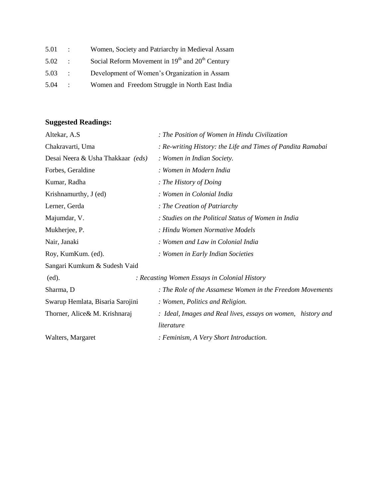| 5.01 | $\mathcal{I}$  | Women, Society and Patriarchy in Medieval Assam     |
|------|----------------|-----------------------------------------------------|
| 5.02 | $\sim$ $\sim$  | Social Reform Movement in $19th$ and $20th$ Century |
| 5.03 | $-1.1$         | Development of Women's Organization in Assam        |
| 5.04 | $\mathbb{R}^n$ | Women and Freedom Struggle in North East India      |

## **Suggested Readings:**

| Altekar, A.S.                     | : The Position of Women in Hindu Civilization                              |
|-----------------------------------|----------------------------------------------------------------------------|
| Chakravarti, Uma                  | : Re-writing History: the Life and Times of Pandita Ramabai                |
| Desai Neera & Usha Thakkaar (eds) | : Women in Indian Society.                                                 |
| Forbes, Geraldine                 | : Women in Modern India                                                    |
| Kumar, Radha                      | $:$ The History of Doing                                                   |
| Krishnamurthy, J (ed)             | : Women in Colonial India                                                  |
| Lerner, Gerda                     | : The Creation of Patriarchy                                               |
| Majumdar, V.                      | : Studies on the Political Status of Women in India                        |
| Mukherjee, P.                     | : Hindu Women Normative Models                                             |
| Nair, Janaki                      | : Women and Law in Colonial India                                          |
| Roy, KumKum. (ed).                | : Women in Early Indian Societies                                          |
| Sangari Kumkum & Sudesh Vaid      |                                                                            |
| (ed).                             | : Recasting Women Essays in Colonial History                               |
| Sharma, D                         | : The Role of the Assamese Women in the Freedom Movements                  |
| Swarup Hemlata, Bisaria Sarojini  | : Women, Politics and Religion.                                            |
| Thorner, Alice& M. Krishnaraj     | : Ideal, Images and Real lives, essays on women, history and<br>literature |
| Walters, Margaret                 | : Feminism, A Very Short Introduction.                                     |
|                                   |                                                                            |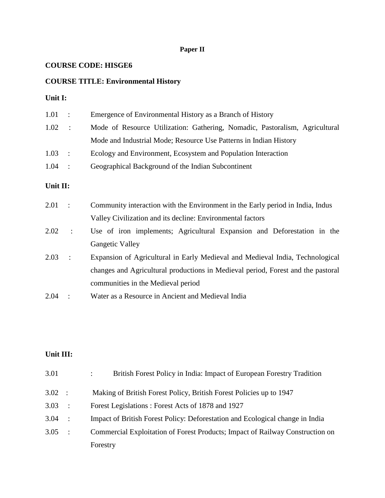#### **Paper II**

#### **COURSE CODE: HISGE6**

#### **COURSE TITLE: Environmental History**

#### **Unit I:**

| $1.01$ : |                  | Emergence of Environmental History as a Branch of History                   |
|----------|------------------|-----------------------------------------------------------------------------|
| 1.02     | $\sim$ 100 $\pm$ | Mode of Resource Utilization: Gathering, Nomadic, Pastoralism, Agricultural |
|          |                  | Mode and Industrial Mode; Resource Use Patterns in Indian History           |
| $1.03$ : |                  | Ecology and Environment, Ecosystem and Population Interaction               |
| $1.04$ : |                  | Geographical Background of the Indian Subcontinent                          |
|          |                  |                                                                             |

#### **Unit II:**

| $2.01$ : | Community interaction with the Environment in the Early period in India, Indus |
|----------|--------------------------------------------------------------------------------|
|          | Valley Civilization and its decline: Environmental factors                     |
| $2.02$ : | Use of iron implements; Agricultural Expansion and Deforestation in the        |

- Gangetic Valley
- 2.03 : Expansion of Agricultural in Early Medieval and Medieval India, Technological changes and Agricultural productions in Medieval period, Forest and the pastoral communities in the Medieval period
- 2.04 : Water as a Resource in Ancient and Medieval India

#### **Unit III:**

| 3.01 | British Forest Policy in India: Impact of European Forestry Tradition |
|------|-----------------------------------------------------------------------|
|      |                                                                       |

- 3.02 : Making of British Forest Policy, British Forest Policies up to 1947
- 3.03 : Forest Legislations : Forest Acts of 1878 and 1927
- 3.04 : Impact of British Forest Policy: Deforestation and Ecological change in India
- 3.05 : Commercial Exploitation of Forest Products; Impact of Railway Construction on Forestry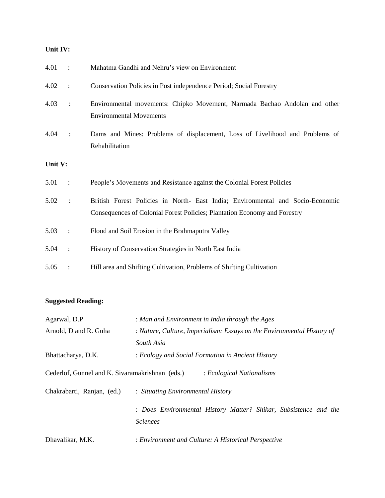| Jnit. |  |
|-------|--|
|-------|--|

| 4.01    | $\cdot$                    | Mahatma Gandhi and Nehru's view on Environment                                                                                                              |
|---------|----------------------------|-------------------------------------------------------------------------------------------------------------------------------------------------------------|
| 4.02    | $\ddot{\cdot}$             | Conservation Policies in Post independence Period; Social Forestry                                                                                          |
| 4.03    | $\ddot{\cdot}$             | Environmental movements: Chipko Movement, Narmada Bachao Andolan and other<br><b>Environmental Movements</b>                                                |
| 4.04    | $\ddot{\cdot}$             | Dams and Mines: Problems of displacement, Loss of Livelihood and Problems of<br>Rehabilitation                                                              |
| Unit V: |                            |                                                                                                                                                             |
| 5.01    | $\overline{\phantom{a}}$ : | People's Movements and Resistance against the Colonial Forest Policies                                                                                      |
| 5.02    | $\ddot{\cdot}$             | British Forest Policies in North- East India; Environmental and Socio-Economic<br>Consequences of Colonial Forest Policies; Plantation Economy and Forestry |
| 5.03    | $\ddot{\cdot}$             | Flood and Soil Erosion in the Brahmaputra Valley                                                                                                            |
| 5.04    | $\ddot{\cdot}$             | History of Conservation Strategies in North East India                                                                                                      |
| 5.05    |                            | Hill area and Shifting Cultivation, Problems of Shifting Cultivation                                                                                        |

## **Suggested Reading:**

| Agarwal, D.P                                    | : Man and Environment in India through the Ages                                     |
|-------------------------------------------------|-------------------------------------------------------------------------------------|
| Arnold, D and R. Guha                           | : Nature, Culture, Imperialism: Essays on the Environmental History of              |
|                                                 | South Asia                                                                          |
| Bhattacharya, D.K.                              | : Ecology and Social Formation in Ancient History                                   |
| Cederlof, Gunnel and K. Sivaramakrishnan (eds.) | : Ecological Nationalisms                                                           |
| Chakrabarti, Ranjan, (ed.)                      | : Situating Environmental History                                                   |
|                                                 | : Does Environmental History Matter? Shikar, Subsistence and the<br><i>Sciences</i> |
| Dhavalikar, M.K.                                | : Environment and Culture: A Historical Perspective                                 |